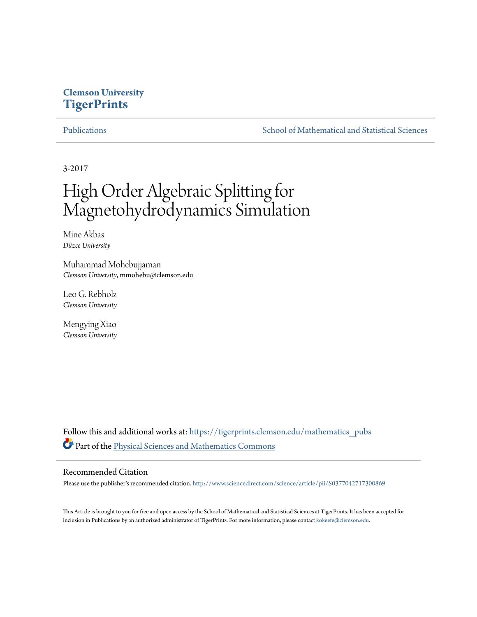# **Clemson University [TigerPrints](https://tigerprints.clemson.edu?utm_source=tigerprints.clemson.edu%2Fmathematics_pubs%2F4&utm_medium=PDF&utm_campaign=PDFCoverPages)**

[Publications](https://tigerprints.clemson.edu/mathematics_pubs?utm_source=tigerprints.clemson.edu%2Fmathematics_pubs%2F4&utm_medium=PDF&utm_campaign=PDFCoverPages) [School of Mathematical and Statistical Sciences](https://tigerprints.clemson.edu/mathematics?utm_source=tigerprints.clemson.edu%2Fmathematics_pubs%2F4&utm_medium=PDF&utm_campaign=PDFCoverPages)

3-2017

# High Order Algebraic Splitting for Magnetohydrodynamics Simulation

Mine Akbas *Düzce University*

Muhammad Mohebujjaman *Clemson University*, mmohebu@clemson.edu

Leo G. Rebholz *Clemson University*

Mengying Xiao *Clemson University*

Follow this and additional works at: [https://tigerprints.clemson.edu/mathematics\\_pubs](https://tigerprints.clemson.edu/mathematics_pubs?utm_source=tigerprints.clemson.edu%2Fmathematics_pubs%2F4&utm_medium=PDF&utm_campaign=PDFCoverPages) Part of the [Physical Sciences and Mathematics Commons](http://network.bepress.com/hgg/discipline/114?utm_source=tigerprints.clemson.edu%2Fmathematics_pubs%2F4&utm_medium=PDF&utm_campaign=PDFCoverPages)

### Recommended Citation

Please use the publisher's recommended citation. <http://www.sciencedirect.com/science/article/pii/S0377042717300869>

This Article is brought to you for free and open access by the School of Mathematical and Statistical Sciences at TigerPrints. It has been accepted for inclusion in Publications by an authorized administrator of TigerPrints. For more information, please contact [kokeefe@clemson.edu.](mailto:kokeefe@clemson.edu)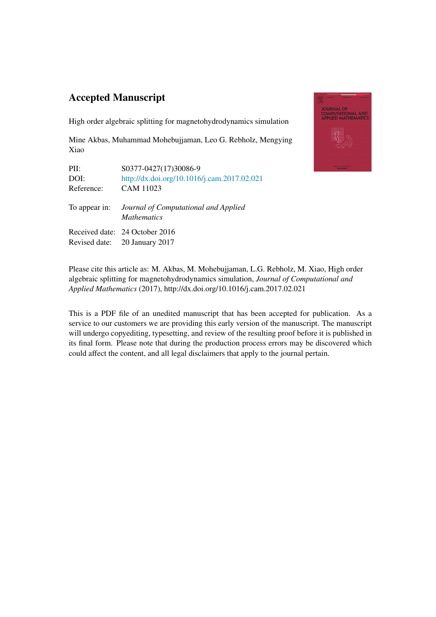# Accepted Manuscript

High order algebraic splitting for magnetohydrodynamics simulation

Mine Akbas, Muhammad Mohebujjaman, Leo G. Rebholz, Mengying Xiao

| PII:          | S0377-0427(17)30086-9                                      |
|---------------|------------------------------------------------------------|
| DOI:          | http://dx.doi.org/10.1016/j.cam.2017.02.021                |
| Reference:    | CAM 11023                                                  |
| To appear in: | Journal of Computational and Applied<br><b>Mathematics</b> |
|               | Received date: 24 October 2016                             |
|               | Revised date: 20 January 2017                              |



Please cite this article as: M. Akbas, M. Mohebujjaman, L.G. Rebholz, M. Xiao, High order algebraic splitting for magnetohydrodynamics simulation, *Journal of Computational and Applied Mathematics* (2017), http://dx.doi.org/10.1016/j.cam.2017.02.021

This is a PDF file of an unedited manuscript that has been accepted for publication. As a service to our customers we are providing this early version of the manuscript. The manuscript will undergo copyediting, typesetting, and review of the resulting proof before it is published in its final form. Please note that during the production process errors may be discovered which could affect the content, and all legal disclaimers that apply to the journal pertain.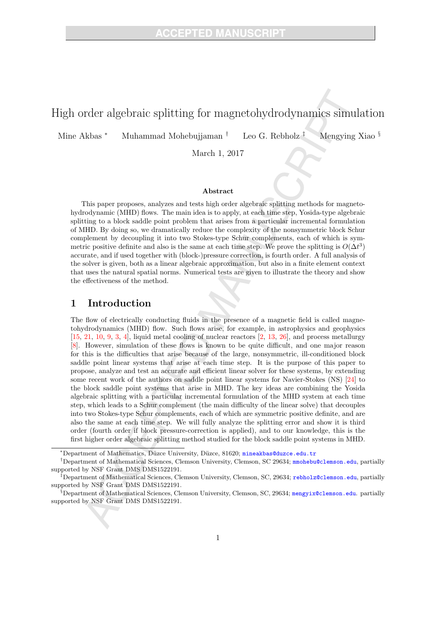# High order algebraic splitting for magnetohydrodynamics simulation

Mine Akbas <sup>∗</sup> Muhammad Mohebujjaman † Leo G. Rebholz ‡ Mengying Xiao §

March 1, 2017

#### Abstract

This paper proposes, analyzes and tests high order algebraic splitting methods for magnetohydrodynamic (MHD) flows. The main idea is to apply, at each time step, Yosida-type algebraic splitting to a block saddle point problem that arises from a particular incremental formulation of MHD. By doing so, we dramatically reduce the complexity of the nonsymmetric block Schur complement by decoupling it into two Stokes-type Schur complements, each of which is symmetric positive definite and also is the same at each time step. We prove the splitting is  $O(\Delta t^3)$ accurate, and if used together with (block-)pressure correction, is fourth order. A full analysis of the solver is given, both as a linear algebraic approximation, but also in a finite element context that uses the natural spatial norms. Numerical tests are given to illustrate the theory and show the effectiveness of the method.

# 1 Introduction

The flow of electrically conducting fluids in the presence of a magnetic field is called magnetohydrodynamics (MHD) flow. Such flows arise, for example, in astrophysics and geophysics  $[15, 21, 10, 9, 3, 4]$ , liquid metal cooling of nuclear reactors  $[2, 13, 26]$ , and process metallurgy [8]. However, simulation of these flows is known to be quite difficult, and one major reason for this is the difficulties that arise because of the large, nonsymmetric, ill-conditioned block saddle point linear systems that arise at each time step. It is the purpose of this paper to propose, analyze and test an accurate and efficient linear solver for these systems, by extending some recent work of the authors on saddle point linear systems for Navier-Stokes (NS) [24] to the block saddle point systems that arise in MHD. The key ideas are combining the Yosida algebraic splitting with a particular incremental formulation of the MHD system at each time step, which leads to a Schur complement (the main difficulty of the linear solve) that decouples into two Stokes-type Schur complements, each of which are symmetric positive definite, and are also the same at each time step. We will fully analyze the splitting error and show it is third order (fourth order if block pressure-correction is applied), and to our knowledge, this is the first higher order algebraic splitting method studied for the block saddle point systems in MHD.

<sup>\*</sup>Department of Mathematics, Düzce University, Düzce, 81620; mineakbas@duzce.edu.tr

<sup>†</sup>Department of Mathematical Sciences, Clemson University, Clemson, SC 29634; mmohebu@clemson.edu, partially supported by NSF Grant DMS DMS1522191.

<sup>‡</sup>Department of Mathematical Sciences, Clemson University, Clemson, SC, 29634; rebholz@clemson.edu, partially supported by NSF Grant DMS DMS1522191.

 $\S$ Department of Mathematical Sciences, Clemson University, Clemson, SC, 29634; mengyix@clemson.edu. partially supported by NSF Grant DMS DMS1522191.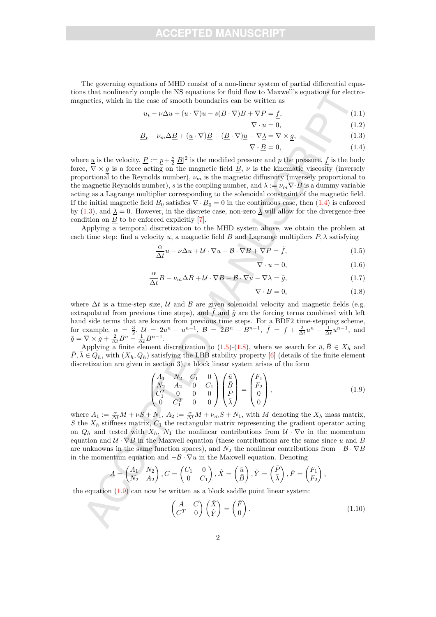The governing equations of MHD consist of a non-linear system of partial differential equations that nonlinearly couple the NS equations for fluid flow to Maxwell's equations for electromagnetics, which in the case of smooth boundaries can be written as

$$
\underline{u}_t - \nu \Delta \underline{u} + (\underline{u} \cdot \nabla) \underline{u} - s(\underline{B} \cdot \nabla) \underline{B} + \nabla \underline{P} = \underline{f},
$$
\n
$$
\nabla \cdot \underline{u} = 0
$$
\n(1.1)

$$
\underline{B}_t - \nu_m \Delta \underline{B} + (\underline{u} \cdot \nabla) \underline{B} - (\underline{B} \cdot \nabla) \underline{u} - \nabla \underline{\lambda} = \nabla \times \underline{g},
$$
\n(1.3)

$$
\nabla \cdot \underline{B} = 0,\tag{1.4}
$$

where <u>u</u> is the velocity,  $\underline{P} := \underline{p} + \frac{s}{2} |\underline{B}|^2$  is the modified pressure and p the pressure,  $\underline{f}$  is the body force,  $\nabla \times g$  is a force acting on the magnetic field  $\underline{B}$ ,  $\nu$  is the kinematic viscosity (inversely proportional to the Reynolds number),  $\nu_m$  is the magnetic diffusivity (inversely proportional to the magnetic Reynolds number), s is the coupling number, and  $\Delta := \nu_m \nabla \cdot \underline{B}$  is a dummy variable acting as a Lagrange multiplier corresponding to the solenoidal constraint of the magnetic field. If the initial magnetic field  $B_0$  satisfies  $\nabla \cdot \underline{B}_0 = 0$  in the continuous case, then  $(1.4)$  is enforced by (1.3), and  $\Delta = 0$ . However, in the discrete case, non-zero  $\Delta$  will allow for the divergence-free condition on  $B$  to be enforced explicitly [7].

Applying a temporal discretization to the MHD system above, we obtain the problem at each time step: find a velocity u, a magnetic field B and Lagrange multipliers  $P, \lambda$  satisfying

$$
\frac{\alpha}{\Delta t}u - \nu \Delta u + \mathcal{U} \cdot \nabla u - \mathcal{B} \cdot \nabla B + \nabla P = \tilde{f},\tag{1.5}
$$

$$
\nabla \cdot u = 0,\t(1.6)
$$

$$
\frac{\alpha}{\Delta t}B - \nu_m \Delta B + \mathcal{U} \cdot \nabla B - \mathcal{B} \cdot \nabla u - \nabla \lambda = \tilde{g},\tag{1.7}
$$

$$
\nabla \cdot B = 0,\t(1.8)
$$

where  $\Delta t$  is a time-step size, U and B are given solenoidal velocity and magnetic fields (e.g. extrapolated from previous time steps), and  $\tilde{f}$  and  $\tilde{g}$  are the forcing terms combined with left hand side terms that are known from previous time steps. For a BDF2 time-stepping scheme, for example,  $\alpha = \frac{3}{2}$ ,  $\mathcal{U} = 2u^n - u^{n-1}$ ,  $\mathcal{B} = 2B^n - B^{n-1}$ ,  $\tilde{f} = f + \frac{2}{\Delta t}u^n - \frac{1}{\Delta t}u^{n-1}$ , and  $\tilde{g} = \nabla \times g + \frac{2}{\Delta t} B^n - \frac{1}{\Delta t} B^{n-1}.$ 

Applying a finite element discretization to (1.5)-(1.8), where we search for  $\bar{u}, \bar{B} \in X_h$  and  $\overline{P}, \overline{\lambda} \in Q_h$ , with  $(X_h, Q_h)$  satisfying the LBB stability property [6] (details of the finite element discretization are given in section 3), a block linear system arises of the form

$$
\begin{pmatrix} A_1 & N_2 & C_1 & 0 \ N_2 & A_2 & 0 & C_1 \ C_1^T & 0 & 0 & 0 \ 0 & C_1^T & 0 & 0 \end{pmatrix} \begin{pmatrix} \bar{u} \\ \bar{B} \\ \bar{P} \\ \bar{\lambda} \end{pmatrix} = \begin{pmatrix} F_1 \\ F_2 \\ 0 \\ 0 \end{pmatrix},
$$
\n(1.9)

where  $A_1 := \frac{\alpha}{\Delta t}M + \nu S + N_1$ ,  $A_2 := \frac{\alpha}{\Delta t}M + \nu_m S + N_1$ , with M denoting the  $X_h$  mass matrix, S the  $X_h$  stiffness matrix,  $C_1$  the rectangular matrix representing the gradient operator acting on  $Q_h$  and tested with  $X_h$ ,  $N_1$  the nonlinear contributions from  $\mathcal{U} \cdot \nabla u$  in the momentum equation and  $U \cdot \nabla B$  in the Maxwell equation (these contributions are the same since u and B are unknowns in the same function spaces), and  $N_2$  the nonlinear contributions from  $-\mathcal{B}\cdot\nabla B$ in the momentum equation and  $-\mathcal{B}\cdot\nabla u$  in the Maxwell equation. Denoting

$$
A = \begin{pmatrix} A_1 & N_2 \\ N_2 & A_2 \end{pmatrix}, C = \begin{pmatrix} C_1 & 0 \\ 0 & C_1 \end{pmatrix}, \hat{X} = \begin{pmatrix} \bar{u} \\ \bar{B} \end{pmatrix}, \hat{Y} = \begin{pmatrix} \bar{P} \\ \bar{\lambda} \end{pmatrix}, \bar{F} = \begin{pmatrix} F_1 \\ F_2 \end{pmatrix},
$$

the equation  $(1.9)$  can now be written as a block saddle point linear system:

$$
\begin{pmatrix} A & C \ C^T & 0 \end{pmatrix} \begin{pmatrix} \hat{X} \\ \hat{Y} \end{pmatrix} = \begin{pmatrix} \bar{F} \\ 0 \end{pmatrix}.
$$
\n(1.10)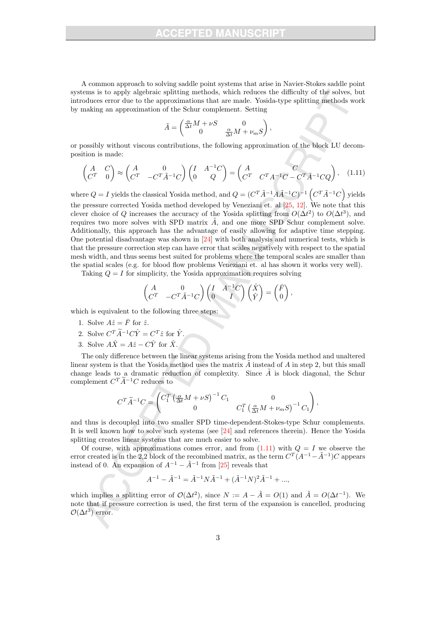A common approach to solving saddle point systems that arise in Navier-Stokes saddle point systems is to apply algebraic splitting methods, which reduces the difficulty of the solves, but introduces error due to the approximations that are made. Yosida-type splitting methods work by making an approximation of the Schur complement. Setting

$$
\tilde{A} = \begin{pmatrix} \frac{\alpha}{\Delta t} M + \nu S & 0 \\ 0 & \frac{\alpha}{\Delta t} M + \nu_m S \end{pmatrix},
$$

or possibly without viscous contributions, the following approximation of the block LU decomposition is made:

$$
\begin{pmatrix} A & C \ C^T & 0 \end{pmatrix} \approx \begin{pmatrix} A & 0 \ C^T & -C^T \tilde{A}^{-1} C \end{pmatrix} \begin{pmatrix} I & A^{-1}C \ 0 & Q \end{pmatrix} = \begin{pmatrix} A & C \ C^T & C^T A^{-1}C - C^T \tilde{A}^{-1} C Q \end{pmatrix}, \quad (1.11)
$$

where  $Q = I$  yields the classical Yosida method, and  $Q = (C^T \tilde{A}^{-1} A \tilde{A}^{-1} C)^{-1} (C^T \tilde{A}^{-1} C)$  yields the pressure corrected Yosida method developed by Veneziani et. al [25, 12]. We note that this clever choice of Q increases the accuracy of the Yosida splitting from  $O(\Delta t^2)$  to  $O(\Delta t^3)$ , and requires two more solves with SPD matrix  $\vec{A}$ , and one more SPD Schur complement solve. Additionally, this approach has the advantage of easily allowing for adaptive time stepping. One potential disadvantage was shown in [24] with both analysis and numerical tests, which is that the pressure correction step can have error that scales negatively with respect to the spatial mesh width, and thus seems best suited for problems where the temporal scales are smaller than the spatial scales (e.g. for blood flow problems Veneziani et. al has shown it works very well).

Taking  $Q = I$  for simplicity, the Yosida approximation requires solving

$$
\begin{pmatrix} A & 0 \\ C^T & -C^T \tilde{A}^{-1} C \end{pmatrix} \begin{pmatrix} I & A^{-1} C \\ 0 & I \end{pmatrix} \begin{pmatrix} \hat{X} \\ \hat{Y} \end{pmatrix} = \begin{pmatrix} \bar{F} \\ 0 \end{pmatrix},
$$

which is equivalent to the following three steps:

- 1. Solve  $A\hat{z} = \bar{F}$  for  $\hat{z}$ .
- 2. Solve  $C^T \widetilde{A}^{-1} C \hat{Y} = C^T \hat{z}$  for  $\hat{Y}$ .
- 3. Solve  $A\hat{X} = A\hat{z} C\hat{Y}$  for  $\hat{X}$ .

The only difference between the linear systems arising from the Yosida method and unaltered linear system is that the Yosida method uses the matrix  $\tilde{A}$  instead of A in step 2, but this small change leads to a dramatic reduction of complexity. Since  $\tilde{A}$  is block diagonal, the Schur complement  $C^T \tilde{A}^{-1} C$  reduces to

$$
C^T\tilde{A}^{-1}C=\begin{pmatrix}C_1^T\left(\frac{\alpha}{\Delta t}M+\nu S\right)^{-1}C_1&0\\0&C_1^T\left(\frac{\alpha}{\Delta t}M+\nu_m S\right)^{-1}C_1\end{pmatrix},
$$

and thus is decoupled into two smaller SPD time-dependent-Stokes-type Schur complements. It is well known how to solve such systems (see [24] and references therein). Hence the Yosida splitting creates linear systems that are much easier to solve.

Of course, with approximations comes error, and from  $(1.11)$  with  $Q = I$  we observe the error created is in the 2,2 block of the recombined matrix, as the term  $C^{T}(A^{-1}-\tilde{A}^{-1})C$  appears instead of 0. An expansion of  $A^{-1} - \tilde{A}^{-1}$  from [25] reveals that

$$
A^{-1} - \tilde{A}^{-1} = \tilde{A}^{-1} N \tilde{A}^{-1} + (\tilde{A}^{-1} N)^2 \tilde{A}^{-1} + \dots,
$$

which implies a splitting error of  $\mathcal{O}(\Delta t^2)$ , since  $N := A - \tilde{A} = O(1)$  and  $\tilde{A} = O(\Delta t^{-1})$ . We note that if pressure correction is used, the first term of the expansion is cancelled, producing  $\mathcal{O}(\Delta t^3)$  error.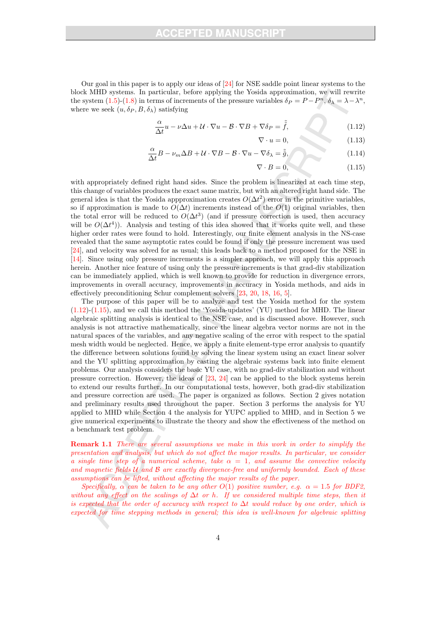Our goal in this paper is to apply our ideas of [24] for NSE saddle point linear systems to the block MHD systems. In particular, before applying the Yosida approximation, we will rewrite the system (1.5)-(1.8) in terms of increments of the pressure variables  $\delta_P = P - P^n$ ,  $\delta_{\lambda} = \lambda - \lambda^n$ , where we seek  $(u, \delta_P, B, \delta_\lambda)$  satisfying

$$
\frac{\alpha}{\Delta t}u - \nu \Delta u + \mathcal{U} \cdot \nabla u - \mathcal{B} \cdot \nabla B + \nabla \delta_P = \tilde{f},\tag{1.12}
$$

 $\nabla \cdot u = 0,$ (1.13)

$$
\frac{\alpha}{\Delta t}B - \nu_m \Delta B + \mathcal{U} \cdot \nabla B - \mathcal{B} \cdot \nabla u - \nabla \delta_\lambda = \tilde{\tilde{g}},\tag{1.14}
$$

$$
\nabla \cdot B = 0,\t(1.15)
$$

with appropriately defined right hand sides. Since the problem is linearized at each time step, this change of variables produces the exact same matrix, but with an altered right hand side. The general idea is that the Yosida appproximation creates  $O(\Delta t^2)$  error in the primitive variables, so if approximation is made to  $O(\Delta t)$  increments instead of the  $O(1)$  original variables, then the total error will be reduced to  $O(\Delta t^3)$  (and if pressure correction is used, then accuracy will be  $O(\Delta t^4)$ ). Analysis and testing of this idea showed that it works quite well, and these higher order rates were found to hold. Interestingly, our finite element analysis in the NS-case revealed that the same asymptotic rates could be found if only the pressure increment was used [24], and velocity was solved for as usual; this leads back to a method proposed for the NSE in [14]. Since using only pressure increments is a simpler approach, we will apply this approach herein. Another nice feature of using only the pressure increments is that grad-div stabilization can be immediately applied, which is well known to provide for reduction in divergence errors, improvements in overall accuracy, improvements in accuracy in Yosida methods, and aids in effectively preconditioning Schur complement solvers [23, 20, 18, 16, 5].

The purpose of this paper will be to analyze and test the Yosida method for the system  $(1.12)-(1.15)$ , and we call this method the 'Yosida-updates' (YU) method for MHD. The linear algebraic splitting analysis is identical to the NSE case, and is discussed above. However, such analysis is not attractive mathematically, since the linear algebra vector norms are not in the natural spaces of the variables, and any negative scaling of the error with respect to the spatial mesh width would be neglected. Hence, we apply a finite element-type error analysis to quantify the difference between solutions found by solving the linear system using an exact linear solver and the YU splitting approximation by casting the algebraic systems back into finite element problems. Our analysis considers the basic YU case, with no grad-div stabilization and without pressure correction. However, the ideas of [23, 24] can be applied to the block systems herein to extend our results further. In our computational tests, however, both grad-div stabilization and pressure correction are used. The paper is organized as follows. Section 2 gives notation and preliminary results used throughout the paper. Section 3 performs the analysis for YU applied to MHD while Section 4 the analysis for YUPC applied to MHD, and in Section 5 we give numerical experiments to illustrate the theory and show the effectiveness of the method on a benchmark test problem.

Remark 1.1 There are several assumptions we make in this work in order to simplify the presentation and analysis, but which do not affect the major results. In particular, we consider a single time step of a numerical scheme, take  $\alpha = 1$ , and assume the convective velocity and magnetic fields  $U$  and  $B$  are exactly divergence-free and uniformly bounded. Each of these assumptions can be lifted, without affecting the major results of the paper.

Specifically,  $\alpha$  can be taken to be any other  $O(1)$  positive number, e.g.  $\alpha = 1.5$  for BDF2, without any effect on the scalings of  $\Delta t$  or h. If we considered multiple time steps, then it is expected that the order of accuracy with respect to  $\Delta t$  would reduce by one order, which is expected for time stepping methods in general; this idea is well-known for algebraic splitting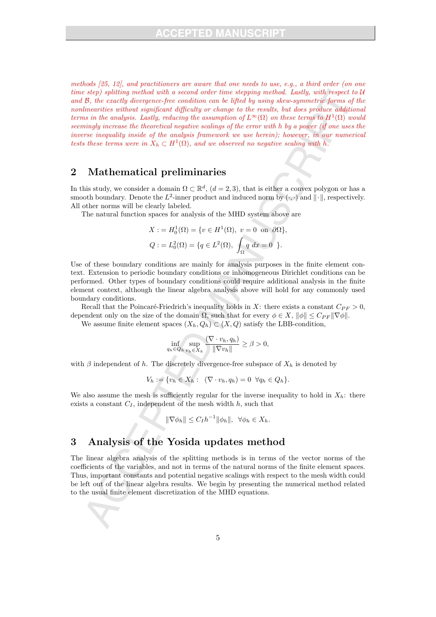methods [25, 12], and practitioners are aware that one needs to use, e.g., a third order (on one time step) splitting method with a second order time stepping method. Lastly, with respect to U and B, the exactly divergence-free condition can be lifted by using skew-symmetric forms of the nonlinearities without significant difficulty or change to the results, but does produce additional terms in the analysis. Lastly, reducing the assumption of  $L^{\infty}(\Omega)$  on these terms to  $H^{1}(\Omega)$  would seemingly increase the theoretical negative scalings of the error with h by a power (if one uses the inverse inequality inside of the analysis framework we use herein); however, in our numerical tests these terms were in  $X_h \subset H^1(\Omega)$ , and we observed no negative scaling with h.

# 2 Mathematical preliminaries

In this study, we consider a domain  $\Omega \subset \mathbb{R}^d$ ,  $(d=2,3)$ , that is either a convex polygon or has a smooth boundary. Denote the  $L^2$ -inner product and induced norm by  $(\cdot, \cdot)$  and  $\|\cdot\|$ , respectively. All other norms will be clearly labeled.

The natural function spaces for analysis of the MHD system above are

$$
X := H_0^1(\Omega) = \{v \in H^1(\Omega), v = 0 \text{ on } \partial\Omega\},\,
$$
  

$$
Q := L_0^2(\Omega) = \{q \in L^2(\Omega), \int_{\Omega} q \, dx = 0 \}.
$$

Use of these boundary conditions are mainly for analysis purposes in the finite element context. Extension to periodic boundary conditions or inhomogeneous Dirichlet conditions can be performed. Other types of boundary conditions could require additional analysis in the finite element context, although the linear algebra analysis above will hold for any commonly used boundary conditions.

Recall that the Poincaré-Friedrich's inequality holds in X: there exists a constant  $C_{PF} > 0$ , dependent only on the size of the domain  $\Omega$ , such that for every  $\phi \in X$ ,  $\|\phi\| \leq C_{PF} \|\nabla \phi\|$ .

We assume finite element spaces  $(X_h, Q_h) \subset (X, Q)$  satisfy the LBB-condition,

$$
\inf_{q_h \in Q_h} \sup_{v_h \in X_h} \frac{(\nabla \cdot v_h, q_h)}{\|\nabla v_h\|} \ge \beta > 0,
$$

with  $\beta$  independent of h. The discretely divergence-free subspace of  $X_h$  is denoted by

$$
V_h := \{v_h \in X_h: \ (\nabla \cdot v_h, q_h) = 0 \ \forall q_h \in Q_h\}.
$$

We also assume the mesh is sufficiently regular for the inverse inequality to hold in  $X_h$ : there exists a constant  $C_I$ , independent of the mesh width  $h$ , such that

$$
\|\nabla \phi_h\| \le C_I h^{-1} \|\phi_h\|, \ \ \forall \phi_h \in X_h.
$$

# 3 Analysis of the Yosida updates method

The linear algebra analysis of the splitting methods is in terms of the vector norms of the coefficients of the variables, and not in terms of the natural norms of the finite element spaces. Thus, important constants and potential negative scalings with respect to the mesh width could be left out of the linear algebra results. We begin by presenting the numerical method related to the usual finite element discretization of the MHD equations.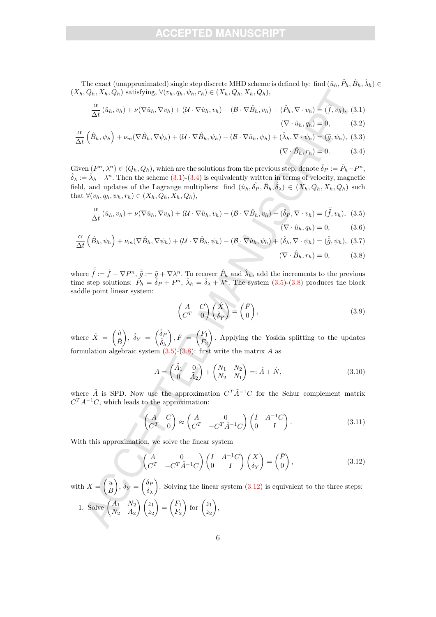The exact (unapproximated) single step discrete MHD scheme is defined by: find  $(\hat{u}_h, \hat{P}_h, \hat{B}_h, \hat{\lambda}_h) \in$  $(X_h, Q_h, X_h, Q_h)$  satisfying,  $\forall (v_h, q_h, \psi_h, r_h) \in (X_h, Q_h, X_h, Q_h)$ ,

$$
\frac{\alpha}{\Delta t}(\hat{u}_h, v_h) + \nu(\nabla \hat{u}_h, \nabla v_h) + (\mathcal{U} \cdot \nabla \hat{u}_h, v_h) - (\mathcal{B} \cdot \nabla \hat{B}_h, v_h) - (\hat{P}_h, \nabla \cdot v_h) = (\tilde{f}, v_h),
$$
(3.1)

$$
(\nabla \cdot \hat{u}_h, q_h) = 0, \qquad (3.2)
$$

$$
\frac{\alpha}{\Delta t} \left( \hat{B}_h, \psi_h \right) + \nu_m (\nabla \hat{B}_h, \nabla \psi_h) + (\mathcal{U} \cdot \nabla \hat{B}_h, \psi_h) - (\mathcal{B} \cdot \nabla \hat{u}_h, \psi_h) + (\hat{\lambda}_h, \nabla \cdot \psi_h) = (\tilde{g}, \psi_h),
$$
(3.3)

$$
(\nabla \cdot \hat{B}_h, r_h) = 0. \tag{3.4}
$$

 $\text{Given } (P^n, \lambda^n) \in (Q_h, Q_h)$ , which are the solutions from the previous step, denote  $\hat{\delta}_P := \hat{P}_h - P^n$ ,  $\hat{\delta}_{\lambda} := \hat{\lambda}_h - \lambda^n$ . Then the scheme (3.1)-(3.4) is equivalently written in terms of velocity, magnetic field, and updates of the Lagrange multipliers: find  $(\hat{u}_h, \hat{\delta}_P, \hat{B}_h, \hat{\delta}_\lambda) \in (X_h, Q_h, X_h, Q_h)$  such that  $\forall (v_h, q_h, \psi_h, r_h) \in (X_h, Q_h, X_h, Q_h),$ 

$$
\frac{\alpha}{\Delta t}(\hat{u}_h, v_h) + \nu(\nabla \hat{u}_h, \nabla v_h) + (\mathcal{U} \cdot \nabla \hat{u}_h, v_h) - (\mathcal{B} \cdot \nabla \hat{B}_h, v_h) - (\hat{\delta}_P, \nabla \cdot v_h) = (\tilde{\tilde{f}}, v_h),
$$
(3.5)

$$
(\nabla \cdot \hat{u}_h, q_h) = 0, \qquad (3.6)
$$

$$
\frac{\alpha}{\Delta t} \left( \hat{B}_h, \psi_h \right) + \nu_m (\nabla \hat{B}_h, \nabla \psi_h) + (\mathcal{U} \cdot \nabla \hat{B}_h, \psi_h) - (\mathcal{B} \cdot \nabla \hat{u}_h, \psi_h) + (\hat{\delta}_\lambda, \nabla \cdot \psi_h) = (\tilde{\tilde{g}}, \psi_h), (3.7)
$$
\n
$$
(\nabla \cdot \hat{B}_h, r_h) = 0, \qquad (3.8)
$$

where  $\tilde{\tilde{f}} := \tilde{f} - \nabla P^n$ ,  $\tilde{\tilde{g}} := \tilde{g} + \nabla \lambda^n$ . To recover  $\hat{P}_h$  and  $\hat{\lambda}_h$ , add the increments to the previous time step solutions:  $\hat{P}_h = \hat{\delta}_P + P^n$ ,  $\hat{\lambda}_h = \hat{\delta}_\lambda + \lambda^n$ . The system (3.5)-(3.8) produces the block saddle point linear system:

$$
\begin{pmatrix} A & C \ C^T & 0 \end{pmatrix} \begin{pmatrix} \hat{X} \\ \hat{\delta}_Y \end{pmatrix} = \begin{pmatrix} \bar{F} \\ 0 \end{pmatrix},
$$
\n(3.9)

where  $\hat{X} = \begin{pmatrix} \hat{u} \\ \hat{v} \end{pmatrix}$  $\hat{B}$  $\Big), \ \hat{\delta}_Y \ = \ \begin{pmatrix} \hat{\delta}_P \ \hat{\epsilon} \end{pmatrix}$  $\hat{\delta}_{\lambda}$  $\Big), \bar{F} = \Big(\frac{F_1}{F_1}\Big)$  $F_2$  . Applying the Yosida splitting to the updates formulation algebraic system  $(3.5)-(3.8)$ : first write the matrix A as

$$
A = \begin{pmatrix} \tilde{A}_1 & 0 \\ 0 & \tilde{A}_2 \end{pmatrix} + \begin{pmatrix} N_1 & N_2 \\ N_2 & N_1 \end{pmatrix} =: \tilde{A} + \tilde{N},
$$
\n(3.10)

where  $\tilde{A}$  is SPD. Now use the approximation  $C^T \tilde{A}^{-1} C$  for the Schur complement matrix  $C^{T}A^{-1}C$ , which leads to the approximation:

$$
\begin{pmatrix} A & C \ C^T & 0 \end{pmatrix} \approx \begin{pmatrix} A & 0 \ C^T & -C^T \tilde{A}^{-1} C \end{pmatrix} \begin{pmatrix} I & A^{-1}C \ 0 & I \end{pmatrix}.
$$
 (3.11)

With this approximation, we solve the linear system

$$
\begin{pmatrix} A & 0 \ C^T & -C^T \tilde{A}^{-1} C \end{pmatrix} \begin{pmatrix} I & A^{-1} C \ 0 & I \end{pmatrix} \begin{pmatrix} X \\ \delta_Y \end{pmatrix} = \begin{pmatrix} \bar{F} \\ 0 \end{pmatrix},
$$
(3.12)

with  $X = \begin{pmatrix} u \\ v \end{pmatrix}$ B  $\delta_Y = \begin{pmatrix} \delta_F \\ \delta_S \end{pmatrix}$  $\delta_{\lambda}$ ). Solving the linear system  $(3.12)$  is equivalent to the three steps: 1. Solve  $\begin{pmatrix} A_1 & N_2 \\ N & A \end{pmatrix}$  $N_2$   $A_2$  $\bigwedge z_1$  $z_2$  $= \left(\frac{F_1}{F_1}\right)$  $F<sub>2</sub>$  $\int$  for  $\int_{0}^{z_1}$  $z_2$  $\bigg)$ ,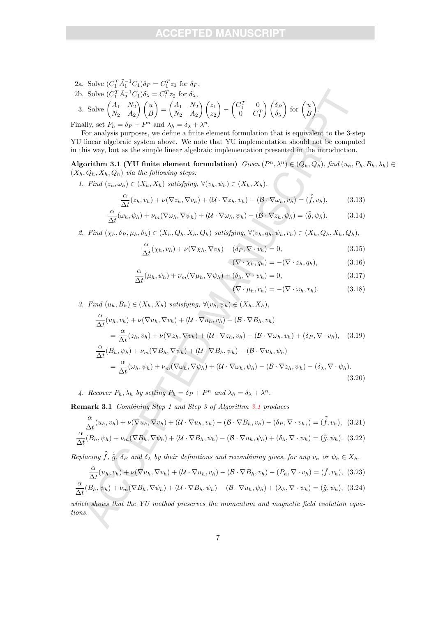- 2a. Solve  $(C_1^T \tilde{A}_1^{-1} C_1) \delta_P = C_1^T z_1$  for  $\delta_P$ , 1
- 2b. Solve  $(C_1^T \tilde{A}_2^{-1} C_1) \delta_\lambda = C_1^T z_2$  for  $\delta_\lambda$ , 3. Solve  $\begin{pmatrix} A_1 & N_2 \\ N_1 & A_2 \end{pmatrix}$  $N_2$   $A_2$  $\bigwedge u$ B  $= \begin{pmatrix} A_1 & N_2 \\ N & A \end{pmatrix}$  $N_2$   $A_2$  $\bigwedge z_1$  $z_2$  $\setminus$ −  $\begin{pmatrix} C_1^T & 0 \end{pmatrix}$  $0 \quad C_1^T$  $\bigwedge$   $\delta_F$  $\delta_{\lambda}$  $\int$  for  $\int_{E}$ B .

Finally, set  $P_h = \delta_P + P^n$  and  $\lambda_h = \delta_\lambda + \lambda^n$ .

For analysis purposes, we define a finite element formulation that is equivalent to the 3-step YU linear algebraic system above. We note that YU implementation should not be computed in this way, but as the simple linear algebraic implementation presented in the introduction.

Algorithm 3.1 (YU finite element formulation)  $Given (P^n, \lambda^n) \in (Q_h, Q_h)$ , find  $(u_h, P_h, B_h, \lambda_h) \in$  $(X_h, Q_h, X_h, Q_h)$  via the following steps:

1. Find  $(z_h, \omega_h) \in (X_h, X_h)$  satisfying,  $\forall (v_h, \psi_h) \in (X_h, X_h)$ ,

$$
\frac{\alpha}{\Delta t}(z_h, v_h) + \nu(\nabla z_h, \nabla v_h) + (\mathcal{U} \cdot \nabla z_h, v_h) - (\mathcal{B} \cdot \nabla \omega_h, v_h) = (\tilde{f}, v_h), \quad (3.13)
$$

$$
\frac{\alpha}{\Delta t}(\omega_h, \psi_h) + \nu_m(\nabla \omega_h, \nabla \psi_h) + (\mathcal{U} \cdot \nabla \omega_h, \psi_h) - (\mathcal{B} \cdot \nabla z_h, \psi_h) = (\tilde{\tilde{g}}, \psi_h). \tag{3.14}
$$

2. Find  $(\chi_h, \delta_P, \mu_h, \delta_\lambda) \in (X_h, Q_h, X_h, Q_h)$  satisfying,  $\forall (v_h, q_h, \psi_h, r_h) \in (X_h, Q_h, X_h, Q_h)$ ,

$$
\frac{\alpha}{\Delta t}(\chi_h, v_h) + \nu(\nabla \chi_h, \nabla v_h) - (\delta_P, \nabla \cdot v_h) = 0,
$$
\n(3.15)

$$
(\nabla \cdot \chi_h, q_h) = -(\nabla \cdot z_h, q_h), \qquad (3.16)
$$

$$
\frac{\alpha}{\Delta t}(\mu_h, \psi_h) + \nu_m(\nabla \mu_h, \nabla \psi_h) + (\delta_\lambda, \nabla \cdot \psi_h) = 0,
$$
\n(3.17)

$$
(\nabla \cdot \mu_h, r_h) = -(\nabla \cdot \omega_h, r_h). \tag{3.18}
$$

3. Find  $(u_h, B_h) \in (X_h, X_h)$  satisfying,  $\forall (v_h, \psi_h) \in (X_h, X_h)$ ,

$$
\frac{\alpha}{\Delta t}(u_h, v_h) + \nu(\nabla u_h, \nabla v_h) + (\mathcal{U} \cdot \nabla u_h, v_h) - (\mathcal{B} \cdot \nabla B_h, v_h) \n= \frac{\alpha}{\Delta t}(z_h, v_h) + \nu(\nabla z_h, \nabla v_h) + (\mathcal{U} \cdot \nabla z_h, v_h) - (\mathcal{B} \cdot \nabla \omega_h, v_h) + (\delta_P, \nabla \cdot v_h), \quad (3.19)\n\frac{\alpha}{\Delta t}(B_h, \psi_h) + \nu_m(\nabla B_h, \nabla \psi_h) + (\mathcal{U} \cdot \nabla B_h, \psi_h) - (\mathcal{B} \cdot \nabla u_h, \psi_h) \n= \frac{\alpha}{\Delta t}(\omega_h, \psi_h) + \nu_m(\nabla \omega_h, \nabla \psi_h) + (\mathcal{U} \cdot \nabla \omega_h, \psi_h) - (\mathcal{B} \cdot \nabla z_h, \psi_h) - (\delta_\lambda, \nabla \cdot \psi_h).
$$
\n(3.20)

4. Recover  $P_h$ ,  $\lambda_h$  by setting  $P_h = \delta_P + P^n$  and  $\lambda_h = \delta_\lambda + \lambda^n$ .

Remark 3.1 Combining Step 1 and Step 3 of Algorithm 3.1 produces

$$
\frac{\alpha}{\Delta t}(u_h, v_h) + \nu(\nabla u_h, \nabla v_h) + (\mathcal{U} \cdot \nabla u_h, v_h) - (\mathcal{B} \cdot \nabla B_h, v_h) - (\delta_P, \nabla \cdot v_h, ) = (\tilde{f}, v_h), (3.21)
$$

$$
\frac{\alpha}{\Delta t}(B_h, \psi_h) + \nu_m(\nabla B_h, \nabla \psi_h) + (\mathcal{U} \cdot \nabla B_h, \psi_h) - (\mathcal{B} \cdot \nabla u_h, \psi_h) + (\delta_\lambda, \nabla \cdot \psi_h) = (\tilde{\tilde{g}}, \psi_h). \tag{3.22}
$$

Replacing  $\tilde{f}$ ,  $\tilde{g}$ ,  $\delta_P$  and  $\delta_\lambda$  by their definitions and recombining gives, for any  $v_h$  or  $\psi_h \in X_h$ ,

$$
\frac{\alpha}{\Delta t}(u_h, v_h) + \nu(\nabla u_h, \nabla v_h) + (\mathcal{U} \cdot \nabla u_h, v_h) - (\mathcal{B} \cdot \nabla B_h, v_h) - (P_h, \nabla \cdot v_h) = (\tilde{f}, v_h),
$$
 (3.23)

$$
\frac{\alpha}{\Delta t}(B_h, \psi_h) + \nu_m(\nabla B_h, \nabla \psi_h) + (\mathcal{U} \cdot \nabla B_h, \psi_h) - (\mathcal{B} \cdot \nabla u_h, \psi_h) + (\lambda_h, \nabla \cdot \psi_h) = (\tilde{g}, \psi_h),
$$
 (3.24)

which shows that the YU method preserves the momentum and magnetic field evolution equations.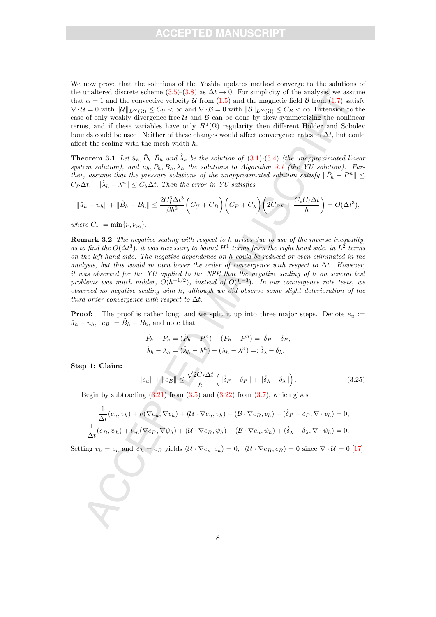We now prove that the solutions of the Yosida updates method converge to the solutions of the unaltered discrete scheme (3.5)-(3.8) as  $\Delta t \rightarrow 0$ . For simplicity of the analysis, we assume that  $\alpha = 1$  and the convective velocity U from (1.5) and the magnetic field B from (1.7) satisfy  $\nabla \cdot \mathcal{U} = 0$  with  $\|\mathcal{U}\|_{L^{\infty}(\Omega)} \leq C_U < \infty$  and  $\nabla \cdot \mathcal{B} = 0$  with  $\|\mathcal{B}\|_{L^{\infty}(\Omega)} \leq C_B < \infty$ . Extension to the case of only weakly divergence-free  $U$  and  $B$  can be done by skew-symmetrizing the nonlinear terms, and if these variables have only  $H^1(\Omega)$  regularity then different Hölder and Sobolev bounds could be used. Neither of these changes would affect convergence rates in  $\Delta t$ , but could affect the scaling with the mesh width h.

**Theorem 3.1** Let  $\hat{u}_h, \hat{P}_h, \hat{B}_h$  and  $\hat{\lambda}_h$  be the solution of (3.1)-(3.4) (the unapproximated linear system solution), and  $u_h$ ,  $P_h$ ,  $B_h$ ,  $\lambda_h$  the solutions to Algorithm 3.1 (the YU solution). Further, assume that the pressure solutions of the unapproximated solution satisfy  $\|\hat{P}_h - P^n\| \leq$  $C_P\Delta t$ ,  $\|\hat{\lambda}_h - \lambda^n\| \leq C_{\lambda}\Delta t$ . Then the error in YU satisfies

$$
\|\hat{u}_h - u_h\| + \|\hat{B}_h - B_h\| \le \frac{2C_I^3 \Delta t^3}{\beta h^3} \left(C_U + C_B\right) \left(C_P + C_\lambda\right) \left(2C_{PF} + \frac{C_* C_I \Delta t}{h}\right) = O(\Delta t^3),
$$

where  $C_* := \min\{\nu, \nu_m\}.$ 

Remark 3.2 The negative scaling with respect to h arises due to use of the inverse inequality, as to find the  $O(\Delta t^3)$ , it was necessary to bound  $H^1$  terms from the right hand side, in  $L^2$  terms on the left hand side. The negative dependence on h could be reduced or even eliminated in the analysis, but this would in turn lower the order of convergence with respect to  $\Delta t$ . However, it was observed for the YU applied to the NSE that the negative scaling of h on several test problems was much milder,  $O(h^{-1/2})$ , instead of  $O(h^{-3})$ . In our convergence rate tests, we observed no negative scaling with h, although we did observe some slight deterioration of the third order convergence with respect to  $\Delta t$ .

**Proof:** The proof is rather long, and we split it up into three major steps. Denote  $e_u$  :=  $\hat{u}_h - u_h$ ,  $e_B := \hat{B}_h - B_h$ , and note that

$$
\hat{P}_h - P_h = (\hat{P}_h - P^n) - (P_h - P^n) =: \hat{\delta}_P - \delta_P,
$$
  

$$
\hat{\lambda}_h - \lambda_h = (\hat{\lambda}_h - \lambda^n) - (\lambda_h - \lambda^n) =: \hat{\delta}_\lambda - \delta_\lambda.
$$

Step 1: Claim:

$$
\|e_u\| + \|e_B\| \le \frac{\sqrt{2}C_I \Delta t}{h} \left( \|\hat{\delta}_P - \delta_P\| + \|\hat{\delta}_\lambda - \delta_\lambda\| \right). \tag{3.25}
$$

Begin by subtracting  $(3.21)$  from  $(3.5)$  and  $(3.22)$  from  $(3.7)$ , which gives

$$
\frac{1}{\Delta t}(e_u, v_h) + \nu(\nabla e_u, \nabla v_h) + (\mathcal{U} \cdot \nabla e_u, v_h) - (\mathcal{B} \cdot \nabla e_B, v_h) - (\hat{\delta}_P - \delta_P, \nabla \cdot v_h) = 0,
$$
  

$$
\frac{1}{\Delta t}(e_B, \psi_h) + \nu_m(\nabla e_B, \nabla \psi_h) + (\mathcal{U} \cdot \nabla e_B, \psi_h) - (\mathcal{B} \cdot \nabla e_u, \psi_h) + (\hat{\delta}_\lambda - \delta_\lambda, \nabla \cdot \psi_h) = 0.
$$

Setting  $v_h = e_u$  and  $\psi_h = e_B$  yields  $(\mathcal{U} \cdot \nabla e_u, e_u) = 0$ ,  $(\mathcal{U} \cdot \nabla e_B, e_B) = 0$  since  $\nabla \cdot \mathcal{U} = 0$  [17].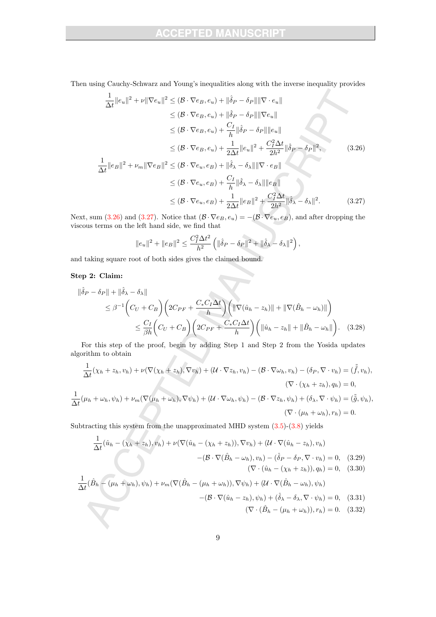Then using Cauchy-Schwarz and Young's inequalities along with the inverse inequality provides

$$
\frac{1}{\Delta t} ||e_u||^2 + \nu ||\nabla e_u||^2 \leq (\mathcal{B} \cdot \nabla e_B, e_u) + ||\hat{\delta}_P - \delta_P|| ||\nabla \cdot e_u||
$$
  
\n
$$
\leq (\mathcal{B} \cdot \nabla e_B, e_u) + ||\hat{\delta}_P - \delta_P|| ||\nabla e_u||
$$
  
\n
$$
\leq (\mathcal{B} \cdot \nabla e_B, e_u) + \frac{C_I}{h} ||\hat{\delta}_P - \delta_P|| ||e_u||
$$
  
\n
$$
\leq (\mathcal{B} \cdot \nabla e_B, e_u) + \frac{1}{2\Delta t} ||e_u||^2 + \frac{C_I^2 \Delta t}{2h^2} ||\hat{\delta}_P - \delta_P||^2,
$$
  
\n
$$
\frac{1}{\Delta t} ||e_B||^2 + \nu_m ||\nabla e_B||^2 \leq (\mathcal{B} \cdot \nabla e_u, e_B) + ||\hat{\delta}_\lambda - \delta_\lambda|| ||\nabla \cdot e_B||
$$
  
\n
$$
\leq (\mathcal{B} \cdot \nabla e_u, e_B) + \frac{C_I}{h} ||\hat{\delta}_\lambda - \delta_\lambda|| ||e_B||
$$
  
\n
$$
\leq (\mathcal{B} \cdot \nabla e_u, e_B) + \frac{1}{2\Delta t} ||e_B||^2 + \frac{C_I^2 \Delta t}{2h^2} ||\hat{\delta}_\lambda - \delta_\lambda||^2.
$$
 (3.27)

Next, sum (3.26) and (3.27). Notice that  $(\mathcal{B} \cdot \nabla e_B, e_u) = -(\mathcal{B} \cdot \nabla e_u, e_B)$ , and after dropping the viscous terms on the left hand side, we find that

$$
||e_u||^2 + ||e_B||^2 \le \frac{C_I^2 \Delta t^2}{h^2} \left( ||\hat{\delta}_P - \delta_P||^2 + ||\hat{\delta}_\lambda - \delta_\lambda||^2 \right),
$$

and taking square root of both sides gives the claimed bound.

#### Step 2: Claim:

1

$$
\|\hat{\delta}_{P} - \delta_{P}\| + \|\hat{\delta}_{\lambda} - \delta_{\lambda}\|
$$
  
\n
$$
\leq \beta^{-1} \left( C_{U} + C_{B} \right) \left( 2C_{PF} + \frac{C_{*}C_{I}\Delta t}{h} \right) \left( \|\nabla(\hat{u}_{h} - z_{h})\| + \|\nabla(\hat{B}_{h} - \omega_{h})\| \right)
$$
  
\n
$$
\leq \frac{C_{I}}{\beta h} \left( C_{U} + C_{B} \right) \left( 2C_{PF} + \frac{C_{*}C_{I}\Delta t}{h} \right) \left( \|\hat{u}_{h} - z_{h}\| + \|\hat{B}_{h} - \omega_{h}\| \right). \quad (3.28)
$$

For this step of the proof, begin by adding Step 1 and Step 2 from the Yosida updates algorithm to obtain

$$
\frac{1}{\Delta t}(\chi_h + z_h, v_h) + \nu(\nabla(\chi_h + z_h), \nabla v_h) + (\mathcal{U} \cdot \nabla z_h, v_h) - (\mathcal{B} \cdot \nabla \omega_h, v_h) - (\delta_P, \nabla \cdot v_h) = (\tilde{f}, v_h),
$$
  

$$
(\nabla \cdot (\chi_h + z_h), q_h) = 0,
$$

$$
\frac{1}{\Delta t}(\mu_h + \omega_h, \psi_h) + \nu_m(\nabla(\mu_h + \omega_h), \nabla \psi_h) + (\mathcal{U} \cdot \nabla \omega_h, \psi_h) - (\mathcal{B} \cdot \nabla z_h, \psi_h) + (\delta_\lambda, \nabla \cdot \psi_h) = (\tilde{\tilde{g}}, \psi_h),
$$
  

$$
(\nabla \cdot (\mu_h + \omega_h), r_h) = 0.
$$

Subtracting this system from the unapproximated MHD system  $(3.5)-(3.8)$  yields

$$
\frac{1}{\Delta t}(\hat{u}_h - (\chi_h + z_h), v_h) + \nu(\nabla(\hat{u}_h - (\chi_h + z_h)), \nabla v_h) + (\mathcal{U} \cdot \nabla(\hat{u}_h - z_h), v_h) \n- (\mathcal{B} \cdot \nabla(\hat{B}_h - \omega_h), v_h) - (\hat{\delta}_P - \delta_P, \nabla \cdot v_h) = 0, (3.29)\n(\nabla \cdot (\hat{u}_h - (\chi_h + z_h)), q_h) = 0, (3.30)\n\frac{1}{\Delta t}(\hat{B}_h - (\mu_h + \omega_h), \psi_h) + \nu_m(\nabla(\hat{B}_h - (\mu_h + \omega_h)), \nabla \psi_h) + (\mathcal{U} \cdot \nabla(\hat{B}_h - \omega_h), \psi_h)
$$

$$
-(\mathcal{B}\cdot\nabla(\hat{u}_h-z_h),\psi_h)+(\hat{\delta}_{\lambda}-\delta_{\lambda},\nabla\cdot\psi_h)=0, \quad (3.31)
$$

 $(\nabla \cdot (\hat{B}_h - (\mu_h + \omega_h)), r_h) = 0.$  (3.32)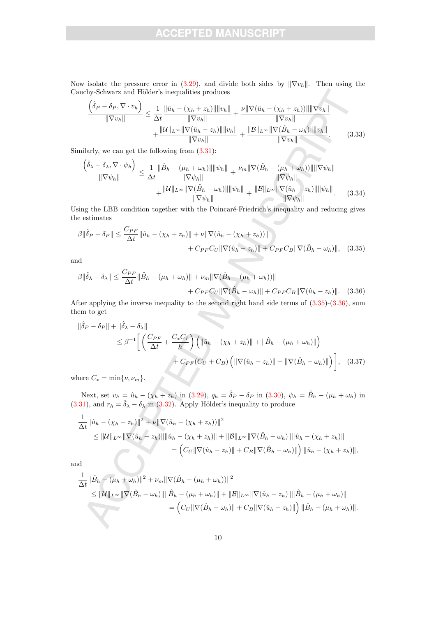Now isolate the pressure error in  $(3.29)$ , and divide both sides by  $\|\nabla v_h\|$ . Then using the Cauchy-Schwarz and Hölder's inequalities produces

$$
\frac{\left(\hat{\delta}_{P} - \delta_{P}, \nabla \cdot v_{h}\right)}{\|\nabla v_{h}\|} \leq \frac{1}{\Delta t} \frac{\|\hat{u}_{h} - (\chi_{h} + z_{h})\| \|v_{h}\|}{\|\nabla v_{h}\|} + \frac{\nu \|\nabla(\hat{u}_{h} - (\chi_{h} + z_{h}))\| \|\nabla v_{h}\|}{\|\nabla v_{h}\|} + \frac{\|\mathcal{U}\|_{L^{\infty}} \|\nabla(\hat{u}_{h} - z_{h})\| \|v_{h}\|}{\|\nabla v_{h}\|} + \frac{\|\mathcal{B}\|_{L^{\infty}} \|\nabla(\hat{B}_{h} - \omega_{h})\| \|v_{h}\|}{\|\nabla v_{h}\|}.
$$
\n(3.33)

Similarly, we can get the following from (3.31):

 $\Delta$ 

$$
\frac{\left(\hat{\delta}_{\lambda} - \delta_{\lambda}, \nabla \cdot \psi_{h}\right)}{\|\nabla \psi_{h}\|} \leq \frac{1}{\Delta t} \frac{\|\hat{B}_{h} - (\mu_{h} + \omega_{h})\| \|\psi_{h}\|}{\|\nabla \psi_{h}\|} + \frac{\nu_{m} \|\nabla(\hat{B}_{h} - (\mu_{h} + \omega_{h}))\| \|\nabla \psi_{h}\|}{\|\nabla \psi_{h}\|} + \frac{\|\mathcal{U}\|_{L^{\infty}} \|\nabla(\hat{B}_{h} - \omega_{h})\| \|\psi_{h}\|}{\|\nabla \psi_{h}\|} + \frac{\|\mathcal{B}\|_{L^{\infty}} \|\nabla(\hat{u}_{h} - z_{h})\| \|\psi_{h}\|}{\|\nabla \psi_{h}\|}.
$$
 (3.34)

Using the LBB condition together with the Poincaré-Friedrich's inequality and reducing gives the estimates

$$
\beta \|\hat{\delta}_P - \delta_P\| \le \frac{C_{PF}}{\Delta t} \|\hat{u}_h - (\chi_h + z_h)\| + \nu \|\nabla(\hat{u}_h - (\chi_h + z_h))\| + C_{PF}C_B \|\nabla(\hat{B}_h - \omega_h)\|, \quad (3.35)
$$

and

$$
\beta \|\hat{\delta}_{\lambda} - \delta_{\lambda}\| \leq \frac{C_{PF}}{\Delta t} \|\hat{B}_{h} - (\mu_h + \omega_h)\| + \nu_m \|\nabla(\hat{B}_{h} - (\mu_h + \omega_h))\|
$$

$$
+ C_{PF}C_U \|\nabla(\hat{B}_{h} - \omega_h)\| + C_{PF}C_B \|\nabla(\hat{u}_h - z_h)\|.
$$
(3.36)

After applying the inverse inequality to the second right hand side terms of (3.35)-(3.36), sum them to get

$$
\|\hat{\delta}_P - \delta_P\| + \|\hat{\delta}_\lambda - \delta_\lambda\|
$$
  
\n
$$
\leq \beta^{-1} \Biggl[ \left( \frac{C_{PF}}{\Delta t} + \frac{C_* C_I}{h} \right) \left( \|\hat{u}_h - (\chi_h + z_h)\| + \|\hat{B}_h - (\mu_h + \omega_h)\| \right) + C_{PF}(C_U + C_B) \left( \|\nabla(\hat{u}_h - z_h)\| + \|\nabla(\hat{B}_h - \omega_h)\| \right) \Biggr], \quad (3.37)
$$

where  $C_* = \min\{\nu, \nu_m\}.$ 

Next, set  $v_h = \hat{u}_h - (\chi_h + z_h)$  in (3.29),  $q_h = \hat{\delta}_P - \delta_P$  in (3.30),  $\psi_h = \hat{B}_h - (\mu_h + \omega_h)$  in (3.31), and  $r_h = \hat{\delta}_{\lambda} - \delta_{\lambda}$  in (3.32). Apply Hölder's inequality to produce

$$
\frac{1}{\Delta t} \|\hat{u}_h - (\chi_h + z_h)\|^2 + \nu \|\nabla(\hat{u}_h - (\chi_h + z_h))\|^2
$$
\n
$$
\leq \|\mathcal{U}\|_{L^{\infty}} \|\nabla(\hat{u}_h - z_h)\| \|\hat{u}_h - (\chi_h + z_h)\| + \|\mathcal{B}\|_{L^{\infty}} \|\nabla(\hat{B}_h - \omega_h)\| \|\hat{u}_h - (\chi_h + z_h)\|
$$
\n
$$
= \left( C_U \|\nabla(\hat{u}_h - z_h)\| + C_B \|\nabla(\hat{B}_h - \omega_h)\|\right) \|\hat{u}_h - (\chi_h + z_h)\|,
$$

and

$$
\frac{1}{\Delta t} \|\hat{B}_h - (\mu_h + \omega_h)\|^2 + \nu_m \|\nabla(\hat{B}_h - (\mu_h + \omega_h))\|^2
$$
\n
$$
\leq \|\mathcal{U}\|_{L^{\infty}} \|\nabla(\hat{B}_h - \omega_h)\| \|\hat{B}_h - (\mu_h + \omega_h)\| + \|\mathcal{B}\|_{L^{\infty}} \|\nabla(\hat{u}_h - z_h)\| \|\hat{B}_h - (\mu_h + \omega_h)\|
$$
\n
$$
= \left( C_U \|\nabla(\hat{B}_h - \omega_h)\| + C_B \|\nabla(\hat{u}_h - z_h)\|\right) \|\hat{B}_h - (\mu_h + \omega_h)\|.
$$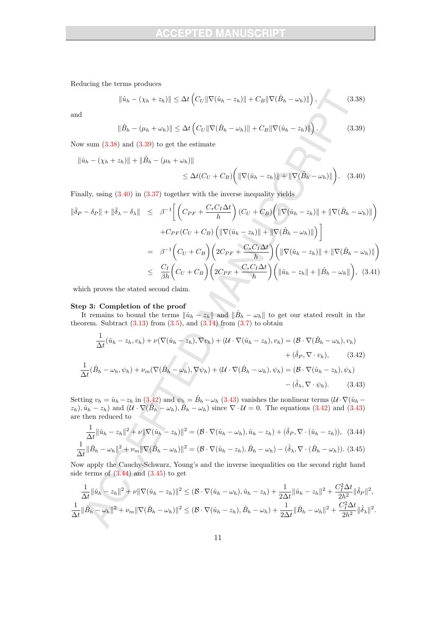Reducing the terms produces

$$
\|\hat{u}_h - (\chi_h + z_h)\| \le \Delta t \left( C_U \|\nabla (\hat{u}_h - z_h)\| + C_B \|\nabla (\hat{B}_h - \omega_h)\| \right),\tag{3.38}
$$

and

$$
\|\hat{B}_h - (\mu_h + \omega_h)\| \le \Delta t \left( C_U \|\nabla(\hat{B}_h - \omega_h)\| + C_B \|\nabla(\hat{u}_h - z_h)\|\right). \tag{3.39}
$$

Now sum  $(3.38)$  and  $(3.39)$  to get the estimate

$$
\|\hat{u}_h - (\chi_h + z_h)\| + \|\hat{B}_h - (\mu_h + \omega_h)\|
$$

$$
\leq \Delta t (C_U + C_B) \bigg( \|\nabla (\hat{u}_h - z_h)\| + \|\nabla (\hat{B}_h - \omega_h)\| \bigg). \quad (3.40)
$$

Finally, using  $(3.40)$  in  $(3.37)$  together with the inverse inequality yields

$$
\|\hat{\delta}_{P} - \delta_{P}\| + \|\hat{\delta}_{\lambda} - \delta_{\lambda}\| \leq \beta^{-1} \Bigg[ \Big( C_{PF} + \frac{C_{*}C_{I}\Delta t}{h} \Big) (C_{U} + C_{B}) \Big( \|\nabla(\hat{u}_{h} - z_{h})\| + \|\nabla(\hat{B}_{h} - \omega_{h})\| \Big) \n+ C_{PF}(C_{U} + C_{B}) \Big( \|\nabla(\hat{u}_{h} - z_{h})\| + \|\nabla(\hat{B}_{h} - \omega_{h})\| \Big) \Bigg] \n= \beta^{-1} \Big( C_{U} + C_{B} \Big) \Big( 2C_{PF} + \frac{C_{*}C_{I}\Delta t}{h} \Big) \Big( \|\nabla(\hat{u}_{h} - z_{h})\| + \|\nabla(\hat{B}_{h} - \omega_{h})\| \Big) \n\leq \frac{C_{I}}{\beta h} \Big( C_{U} + C_{B} \Big) \Big( 2C_{PF} + \frac{C_{*}C_{I}\Delta t}{h} \Big) \Big( \|\hat{u}_{h} - z_{h}\| + \|\hat{B}_{h} - \omega_{h}\| \Big), \quad (3.41)
$$

which proves the stated second claim.

#### Step 3: Completion of the proof

It remains to bound the terms  $\|\hat{u}_h - z_h\|$  and  $\|\hat{B}_h - \omega_h\|$  to get our stated result in the theorem. Subtract  $(3.13)$  from  $(3.5)$ , and  $(3.14)$  from  $(3.7)$  to obtain

$$
\frac{1}{\Delta t}(\hat{u}_h - z_h, v_h) + \nu(\nabla(\hat{u}_h - z_h), \nabla v_h) + (\mathcal{U} \cdot \nabla(\hat{u}_h - z_h), v_h) = (\mathcal{B} \cdot \nabla(\hat{B}_h - \omega_h), v_h) \n+ (\hat{\delta}_P, \nabla \cdot v_h),
$$
\n(3.42)  
\n
$$
\frac{1}{\Delta t}(\hat{B}_h - \omega_h, \psi_h) + \nu_m(\nabla(\hat{B}_h - \omega_h), \nabla \psi_h) + (\mathcal{U} \cdot \nabla(\hat{B}_h - \omega_h), \psi_h) = (\mathcal{B} \cdot \nabla(\hat{u}_h - z_h), \psi_h) \n- (\hat{\delta}_\lambda, \nabla \cdot \psi_h).
$$
\n(3.43)

Setting  $v_h = \hat{u}_h - z_h$  in  $(3.42)$  and  $\psi_h = \hat{B}_h - \omega_h$   $(3.43)$  vanishes the nonlinear terms  $(\mathcal{U} \cdot \nabla)(\hat{u}_h - \hat{v}_h)$  $(z_h)$ ,  $\hat{u}_h - z_h$ ) and  $(\mathcal{U} \cdot \nabla(\hat{B}_h - \omega_h), \hat{B}_h - \omega_h)$  since  $\nabla \cdot \mathcal{U} = 0$ . The equations (3.42) and (3.43) are then reduced to

$$
\frac{1}{\Delta t} \|\hat{u}_h - z_h\|^2 + \nu \|\nabla(\hat{u}_h - z_h)\|^2 = (\mathcal{B} \cdot \nabla(\hat{u}_h - \omega_h), \hat{u}_h - z_h) + (\hat{\delta}_P, \nabla \cdot (\hat{u}_h - z_h)), \quad (3.44)
$$

$$
\frac{1}{\Delta t} \|\hat{B}_h - \omega_h\|^2 + \nu_m \|\nabla(\hat{B}_h - \omega_h)\|^2 = (\mathcal{B} \cdot \nabla(\hat{u}_h - z_h), \hat{B}_h - \omega_h) - (\hat{\delta}_\lambda, \nabla \cdot (\hat{B}_h - \omega_h)).
$$
 (3.45)

Now apply the Cauchy-Schwarz, Young's and the inverse inequalities on the second right hand side terms of  $(3.44)$  and  $(3.45)$  to get

$$
\frac{1}{\Delta t} \|\hat{u}_h - z_h\|^2 + \nu \|\nabla(\hat{u}_h - z_h)\|^2 \leq (\mathcal{B} \cdot \nabla(\hat{u}_h - \omega_h), \hat{u}_h - z_h) + \frac{1}{2\Delta t} \|\hat{u}_h - z_h\|^2 + \frac{C_I^2 \Delta t}{2h^2} \|\hat{\delta}_P\|^2,
$$
  

$$
\frac{1}{\Delta t} \|\hat{B}_h - \omega_h\|^2 + \nu_m \|\nabla(\hat{B}_h - \omega_h)\|^2 \leq (\mathcal{B} \cdot \nabla(\hat{u}_h - z_h), \hat{B}_h - \omega_h) + \frac{1}{2\Delta t} \|\hat{B}_h - \omega_h\|^2 + \frac{C_I^2 \Delta t}{2h^2} \|\hat{\delta}_\lambda\|^2.
$$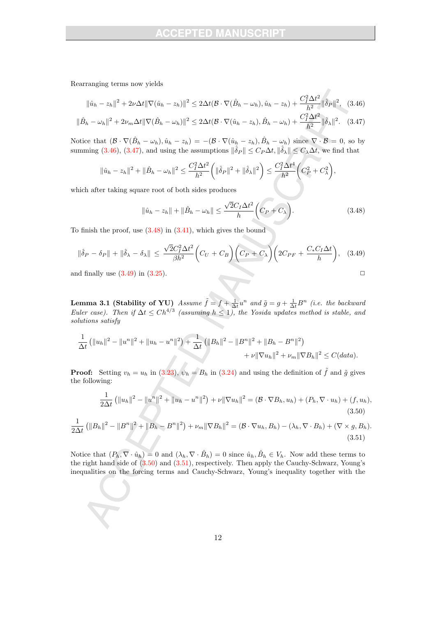Rearranging terms now yields

$$
\|\hat{u}_h - z_h\|^2 + 2\nu\Delta t \|\nabla(\hat{u}_h - z_h)\|^2 \le 2\Delta t (\mathcal{B} \cdot \nabla(\hat{B}_h - \omega_h), \hat{u}_h - z_h) + \frac{C_I^2 \Delta t^2}{h^2} \|\hat{\delta}_P\|^2, \quad (3.46)
$$
  

$$
\|\hat{B}_h - \omega_h\|^2 + 2\nu_m\Delta t \|\nabla(\hat{B}_h - \omega_h)\|^2 \le 2\Delta t (\mathcal{B} \cdot \nabla(\hat{u}_h - z_h), \hat{B}_h - \omega_h) + \frac{C_I^2 \Delta t^2}{h^2} \|\hat{\delta}_\lambda\|^2. \quad (3.47)
$$

Notice that  $(\mathcal{B}\cdot\nabla(\hat{B}_h-\omega_h),\hat{u}_h-z_h) = -(\mathcal{B}\cdot\nabla(\hat{u}_h-z_h),\hat{B}_h-\omega_h)$  since  $\nabla\cdot\mathcal{B}=0$ , so by summing (3.46), (3.47), and using the assumptions  $\|\hat{\delta}_P\| \leq C_P \Delta t$ ,  $\|\hat{\delta}_\lambda\| \leq C_\lambda \Delta t$ , we find that

$$
\|\hat{u}_h - z_h\|^2 + \|\hat{B}_h - \omega_h\|^2 \le \frac{C_I^2 \Delta t^2}{h^2} \left( \|\hat{\delta}_P\|^2 + \|\hat{\delta}_\lambda\|^2 \right) \le \frac{C_I^2 \Delta t^4}{h^2} \left( C_P^2 + C_\lambda^2 \right),
$$

which after taking square root of both sides produces

$$
\|\hat{u}_h - z_h\| + \|\hat{B}_h - \omega_h\| \le \frac{\sqrt{2}C_I \Delta t^2}{h} \bigg(C_P + C_\lambda\bigg). \tag{3.48}
$$

To finish the proof, use  $(3.48)$  in  $(3.41)$ , which gives the bound

$$
\|\hat{\delta}_P - \delta_P\| + \|\hat{\delta}_\lambda - \delta_\lambda\| \le \frac{\sqrt{2}C_I^2 \Delta t^2}{\beta h^2} \bigg(C_U + C_B\bigg) \bigg(C_P + C_\lambda\bigg) \bigg(2C_{PF} + \frac{C_* C_I \Delta t}{h}\bigg), \quad (3.49)
$$

and finally use  $(3.49)$  in  $(3.25)$ .

**Lemma 3.1 (Stability of YU)** Assume  $\tilde{f} = f + \frac{1}{\Delta t}u^n$  and  $\tilde{g} = g + \frac{1}{\Delta t}B^n$  (i.e. the backward Euler case). Then if  $\Delta t \leq Ch^{4/3}$  (assuming  $h \leq 1$ ), the Yosida updates method is stable, and solutions satisfy

$$
\frac{1}{\Delta t} \left( \|u_h\|^2 - \|u^n\|^2 + \|u_h - u^n\|^2 \right) + \frac{1}{\Delta t} \left( \|B_h\|^2 - \|B^n\|^2 + \|B_h - B^n\|^2 \right) + \nu \|\nabla u_h\|^2 + \nu_m \|\nabla B_h\|^2 \le C(data).
$$

**Proof:** Setting  $v_h = u_h$  in (3.23),  $\psi_h = B_h$  in (3.24) and using the definition of  $\tilde{f}$  and  $\tilde{g}$  gives the following:

$$
\frac{1}{2\Delta t} \left( \|u_h\|^2 - \|u^n\|^2 + \|u_h - u^n\|^2 \right) + \nu \|\nabla u_h\|^2 = (\mathcal{B} \cdot \nabla B_h, u_h) + (P_h, \nabla \cdot u_h) + (f, u_h),
$$
\n(3.50)

$$
\frac{1}{2\Delta t} \left( \|B_h\|^2 - \|B^n\|^2 + \|B_h - B^n\|^2 \right) + \nu_m \|\nabla B_h\|^2 = (\mathcal{B} \cdot \nabla u_h, B_h) - (\lambda_h, \nabla \cdot B_h) + (\nabla \times g, B_h). \tag{3.51}
$$

Notice that  $(P_h, \nabla \cdot \hat{u}_h) = 0$  and  $(\lambda_h, \nabla \cdot \hat{B}_h) = 0$  since  $\hat{u}_h, \hat{B}_h \in V_h$ . Now add these terms to the right hand side of  $(3.50)$  and  $(3.51)$ , respectively. Then apply the Cauchy-Schwarz, Young's inequalities on the forcing terms and Cauchy-Schwarz, Young's inequality together with the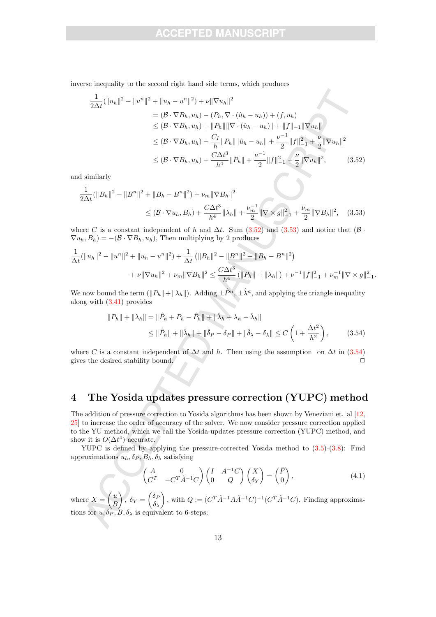inverse inequality to the second right hand side terms, which produces

$$
\frac{1}{2\Delta t}(\|u_h\|^2 - \|u^n\|^2 + \|u_h - u^n\|^2) + \nu \|\nabla u_h\|^2
$$
\n
$$
= (\mathcal{B} \cdot \nabla B_h, u_h) - (P_h, \nabla \cdot (\hat{u}_h - u_h)) + (f, u_h)
$$
\n
$$
\leq (\mathcal{B} \cdot \nabla B_h, u_h) + \|P_h\| \|\nabla \cdot (\hat{u}_h - u_h)\| + \|f\|_{-1} \|\nabla u_h\|
$$
\n
$$
\leq (\mathcal{B} \cdot \nabla B_h, u_h) + \frac{C_I}{h} \|P_h\| \|\hat{u}_h - u_h\| + \frac{\nu^{-1}}{2} \|f\|_{-1}^2 + \frac{\nu}{2} \|\nabla u_h\|^2
$$
\n
$$
\leq (\mathcal{B} \cdot \nabla B_h, u_h) + \frac{C\Delta t^3}{h^4} \|P_h\| + \frac{\nu^{-1}}{2} \|f\|_{-1}^2 + \frac{\nu}{2} \|\nabla u_h\|^2, \tag{3.52}
$$

and similarly

$$
\frac{1}{2\Delta t}(\|B_h\|^2 - \|B^n\|^2 + \|B_h - B^n\|^2) + \nu_m \|\nabla B_h\|^2
$$
\n
$$
\leq (\mathcal{B} \cdot \nabla u_h, B_h) + \frac{C\Delta t^3}{h^4} \|\lambda_h\| + \frac{\nu_m^{-1}}{2} \|\nabla \times g\|_{-1}^2 + \frac{\nu_m}{2} \|\nabla B_h\|^2, \quad (3.53)
$$

where C is a constant independent of h and  $\Delta t$ . Sum (3.52) and (3.53) and notice that (B ·  $\nabla u_h, B_h$ ) =  $-(\mathcal{B} \cdot \nabla B_h, u_h)$ , Then multiplying by 2 produces

$$
\frac{1}{\Delta t}(\|u_h\|^2 - \|u^n\|^2 + \|u_h - u^n\|^2) + \frac{1}{\Delta t}(\|B_h\|^2 - \|B^n\|^2 + \|B_h - B^n\|^2)
$$

$$
+ \nu \|\nabla u_h\|^2 + \nu_m \|\nabla B_h\|^2 \le \frac{C\Delta t^3}{h^4}(\|P_h\| + \|\lambda_h\|) + \nu^{-1} \|f\|_{-1}^2 + \nu_m^{-1} \|\nabla \times g\|_{-1}^2.
$$

We now bound the term  $(\Vert P_h \Vert + \Vert \lambda_h \Vert)$ . Adding  $\pm \hat{P}^n$ ,  $\pm \hat{\lambda}^n$ , and applying the triangle inequality along with (3.41) provides

$$
||P_h|| + ||\lambda_h|| = ||\hat{P}_h + P_h - \hat{P}_h|| + ||\hat{\lambda}_h + \lambda_h - \hat{\lambda}_h||
$$
  

$$
\leq ||\hat{P}_h|| + ||\hat{\lambda}_h|| + ||\hat{\delta}_P - \delta_P|| + ||\hat{\delta}_\lambda - \delta_\lambda|| \leq C \left(1 + \frac{\Delta t^2}{h^2}\right),
$$
 (3.54)

where C is a constant independent of  $\Delta t$  and h. Then using the assumption on  $\Delta t$  in (3.54) gives the desired stability bound.  $\Box$ 

# 4 The Yosida updates pressure correction (YUPC) method

The addition of pressure correction to Yosida algorithms has been shown by Veneziani et. al [12, 25] to increase the order of accuracy of the solver. We now consider pressure correction applied to the YU method, which we call the Yosida-updates pressure correction (YUPC) method, and show it is  $O(\Delta t^4)$  accurate.

YUPC is defined by applying the pressure-corrected Yosida method to (3.5)-(3.8): Find approximations  $u_h$ ,  $\delta_P$ ,  $B_h$ ,  $\delta_\lambda$  satisfying

$$
\begin{pmatrix} A & 0 \ C^T & -C^T \tilde{A}^{-1} C \end{pmatrix} \begin{pmatrix} I & A^{-1} C \ 0 & Q \end{pmatrix} \begin{pmatrix} X \\ \delta_Y \end{pmatrix} = \begin{pmatrix} \bar{F} \\ 0 \end{pmatrix},
$$
(4.1)

where  $X = \begin{pmatrix} u \\ p \end{pmatrix}$ B  $\bigg\}, \delta_Y = \begin{pmatrix} \delta_F \\ \delta_S \end{pmatrix}$  $\delta_{\lambda}$ ), with  $Q := (C^T \tilde{A}^{-1} A \tilde{A}^{-1} C)^{-1} (C^T \tilde{A}^{-1} C)$ . Finding approximations for  $u, \delta_P, B, \delta_\lambda$  is equivalent to 6-steps: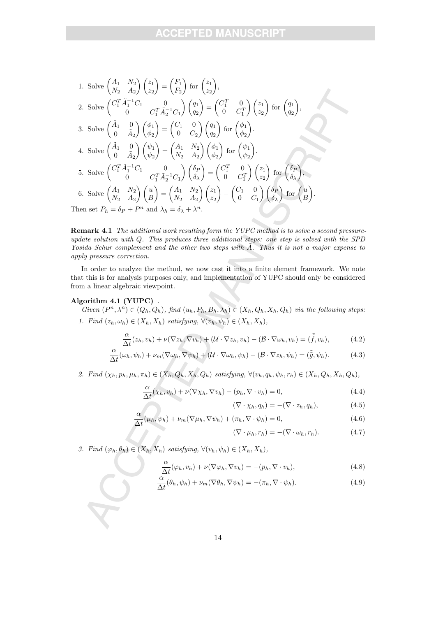1. Solve 
$$
\begin{pmatrix} A_1 & N_2 \ N_2 & A_2 \end{pmatrix} \begin{pmatrix} z_1 \ z_2 \end{pmatrix} = \begin{pmatrix} F_1 \ F_2 \end{pmatrix}
$$
 for  $\begin{pmatrix} z_1 \ z_2 \end{pmatrix}$ ,  
\n2. Solve  $\begin{pmatrix} C_1^T \tilde{A}_1^{-1} C_1 & 0 \\ 0 & C_1^T \tilde{A}_2^{-1} C_1 \end{pmatrix} \begin{pmatrix} q_1 \ q_2 \end{pmatrix} = \begin{pmatrix} C_1^T & 0 \\ 0 & C_1^T \end{pmatrix} \begin{pmatrix} z_1 \ z_2 \end{pmatrix}$  for  $\begin{pmatrix} q_1 \ q_2 \end{pmatrix}$ ,  
\n3. Solve  $\begin{pmatrix} \tilde{A}_1 & 0 \\ 0 & \tilde{A}_2 \end{pmatrix} \begin{pmatrix} \phi_1 \\ \phi_2 \end{pmatrix} = \begin{pmatrix} C_1 & 0 \\ 0 & C_2 \end{pmatrix} \begin{pmatrix} q_1 \\ q_2 \end{pmatrix}$  for  $\begin{pmatrix} \phi_1 \\ \phi_2 \end{pmatrix}$ .  
\n4. Solve  $\begin{pmatrix} \tilde{A}_1 & 0 \\ 0 & \tilde{A}_2 \end{pmatrix} \begin{pmatrix} \psi_1 \\ \psi_2 \end{pmatrix} = \begin{pmatrix} A_1 & N_2 \\ N_2 & A_2 \end{pmatrix} \begin{pmatrix} \phi_1 \\ \phi_2 \end{pmatrix}$  for  $\begin{pmatrix} \psi_1 \\ \psi_2 \end{pmatrix}$ .  
\n5. Solve  $\begin{pmatrix} C_1^T \tilde{A}_1^{-1} C_1 & 0 \\ 0 & C_1^T \tilde{A}_2^{-1} C_1 \end{pmatrix} \begin{pmatrix} \delta_P \\ \delta_\lambda \end{pmatrix} = \begin{pmatrix} C_1^T & 0 \\ 0 & C_1^T \end{pmatrix} \begin{pmatrix} z_1 \\ z_2 \end{pmatrix}$  for  $\begin{pmatrix} \delta_P \\ \delta_\lambda \end{pmatrix}$ ,  
\n6. Solve  $\begin{pmatrix} A_1 & N_2 \\ N_2 & A_2 \end{pmatrix} \begin{pmatrix} u \\ B \end{pmatrix} = \begin{pmatrix} A_1 & N_2 \\ N_2 & A_2 \$ 

Remark 4.1 The additional work resulting form the YUPC method is to solve a second pressureupdate solution with Q. This produces three additional steps: one step is solved with the SPD Yosida Schur complement and the other two steps with  $\tilde{A}$ . Thus it is not a major expense to apply pressure correction.

In order to analyze the method, we now cast it into a finite element framework. We note that this is for analysis purposes only, and implementation of YUPC should only be considered from a linear algebraic viewpoint.

#### Algorithm 4.1 (YUPC) .

Given  $(P^n, \lambda^n) \in (Q_h, Q_h)$ , find  $(u_h, P_h, B_h, \lambda_h) \in (X_h, Q_h, X_h, Q_h)$  via the following steps: 1. Find  $(z_h, \omega_h) \in (X_h, X_h)$  satisfying,  $\forall (v_h, \psi_h) \in (X_h, X_h)$ ,

$$
\frac{\alpha}{\Delta t}(z_h, v_h) + \nu(\nabla z_h, \nabla v_h) + (\mathcal{U} \cdot \nabla z_h, v_h) - (\mathcal{B} \cdot \nabla \omega_h, v_h) = (\tilde{\tilde{f}}, v_h),
$$
(4.2)

$$
\frac{\alpha}{\Delta t}(\omega_h, \psi_h) + \nu_m(\nabla \omega_h, \nabla \psi_h) + (\mathcal{U} \cdot \nabla \omega_h, \psi_h) - (\mathcal{B} \cdot \nabla z_h, \psi_h) = (\tilde{\tilde{g}}, \psi_h). \tag{4.3}
$$

2. Find  $(\chi_h, p_h, \mu_h, \pi_h) \in (X_h, Q_h, X_h, Q_h)$  satisfying,  $\forall (v_h, q_h, \psi_h, r_h) \in (X_h, Q_h, X_h, Q_h)$ ,

$$
\frac{\alpha}{\Delta t}(\chi_h, v_h) + \nu(\nabla \chi_h, \nabla v_h) - (p_h, \nabla \cdot v_h) = 0,
$$
\n(4.4)

$$
(\nabla \cdot \chi_h, q_h) = -(\nabla \cdot z_h, q_h), \qquad (4.5)
$$

$$
\frac{\alpha}{\Delta t}(\mu_h, \psi_h) + \nu_m(\nabla \mu_h, \nabla \psi_h) + (\pi_h, \nabla \cdot \psi_h) = 0,
$$
\n(4.6)

$$
(\nabla \cdot \mu_h, r_h) = -(\nabla \cdot \omega_h, r_h). \tag{4.7}
$$

3. Find  $(\varphi_h, \theta_h) \in (X_h, X_h)$  satisfying,  $\forall (v_h, \psi_h) \in (X_h, X_h)$ ,

$$
\frac{\alpha}{\Delta t}(\varphi_h, v_h) + \nu(\nabla \varphi_h, \nabla v_h) = -(p_h, \nabla \cdot v_h),\tag{4.8}
$$

$$
\frac{\alpha}{\Delta t}(\theta_h, \psi_h) + \nu_m(\nabla \theta_h, \nabla \psi_h) = -(\pi_h, \nabla \cdot \psi_h). \tag{4.9}
$$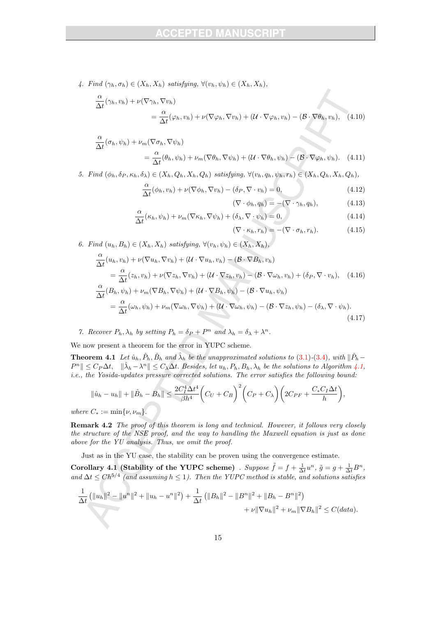4. Find  $(\gamma_h, \sigma_h) \in (X_h, X_h)$  satisfying,  $\forall (v_h, \psi_h) \in (X_h, X_h)$ ,

$$
\frac{\alpha}{\Delta t}(\gamma_h, v_h) + \nu(\nabla \gamma_h, \nabla v_h)
$$
\n
$$
= \frac{\alpha}{\Delta t}(\varphi_h, v_h) + \nu(\nabla \varphi_h, \nabla v_h) + (\mathcal{U} \cdot \nabla \varphi_h, v_h) - (\mathcal{B} \cdot \nabla \theta_h, v_h), \quad (4.10)
$$

$$
\frac{\alpha}{\Delta t}(\sigma_h, \psi_h) + \nu_m(\nabla \sigma_h, \nabla \psi_h)
$$
  
= 
$$
\frac{\alpha}{\Delta t}(\theta_h, \psi_h)
$$

$$
= \frac{\alpha}{\Delta t}(\theta_h, \psi_h) + \nu_m(\nabla \theta_h, \nabla \psi_h) + (\mathcal{U} \cdot \nabla \theta_h, \psi_h) - (\mathcal{B} \cdot \nabla \varphi_h, \psi_h). \quad (4.11)
$$

5. Find  $(\phi_h, \delta_P, \kappa_h, \delta_\lambda) \in (X_h, Q_h, X_h, Q_h)$  satisfying,  $\forall (v_h, q_h, \psi_h, r_h) \in (X_h, Q_h, X_h, Q_h)$ ,

$$
\frac{\alpha}{\Delta t}(\phi_h, v_h) + \nu(\nabla \phi_h, \nabla v_h) - (\delta_P, \nabla \cdot v_h) = 0,\tag{4.12}
$$

$$
(\nabla \cdot \phi_h, q_h) = -(\nabla \cdot \gamma_h, q_h), \qquad (4.13)
$$

Ź

$$
\frac{\alpha}{\Delta t}(\kappa_h, \psi_h) + \nu_m(\nabla \kappa_h, \nabla \psi_h) + (\delta_\lambda, \nabla \cdot \psi_h) = 0,\tag{4.14}
$$

$$
(\nabla \cdot \kappa_h, r_h) = -(\nabla \cdot \sigma_h, r_h). \tag{4.15}
$$

6. Find  $(u_h, B_h) \in (X_h, X_h)$  satisfying,  $\forall (v_h, \psi_h) \in (X_h, X_h)$ ,

$$
\frac{\alpha}{\Delta t}(u_h, v_h) + \nu(\nabla u_h, \nabla v_h) + (\mathcal{U} \cdot \nabla u_h, v_h) - (\mathcal{B} \cdot \nabla B_h, v_h)
$$
\n
$$
= \frac{\alpha}{\Delta t}(z_h, v_h) + \nu(\nabla z_h, \nabla v_h) + (\mathcal{U} \cdot \nabla z_h, v_h) - (\mathcal{B} \cdot \nabla \omega_h, v_h) + (\delta_P, \nabla \cdot v_h), \quad (4.16)
$$
\n
$$
\frac{\alpha}{\Delta t}(B_h, \psi_h) + \nu_m(\nabla B_h, \nabla \psi_h) + (\mathcal{U} \cdot \nabla B_h, \psi_h) - (\mathcal{B} \cdot \nabla u_h, \psi_h)
$$
\n
$$
= \frac{\alpha}{\Delta t}(\omega_h, \psi_h) + \nu_m(\nabla \omega_h, \nabla \psi_h) + (\mathcal{U} \cdot \nabla \omega_h, \psi_h) - (\mathcal{B} \cdot \nabla z_h, \psi_h) - (\delta_\lambda, \nabla \cdot \psi_h). \tag{4.17}
$$

7. Recover  $P_h$ ,  $\lambda_h$  by setting  $P_h = \delta_P + P^n$  and  $\lambda_h = \delta_\lambda + \lambda^n$ .

We now present a theorem for the error in YUPC scheme.

**Theorem 4.1** Let  $\hat{u}_h$ ,  $\hat{P}_h$ ,  $\hat{B}_h$  and  $\hat{\lambda}_h$  be the unapproximated solutions to (3.1)-(3.4), with  $\|\hat{P}_h ||P^n|| \leq C_P \Delta t$ ,  $||\hat{\lambda}_h - \lambda^n|| \leq C_{\lambda} \Delta t$ . Besides, let  $u_h, P_h, B_h, \lambda_h$  be the solutions to Algorithm 4.1, i.e., the Yosida-updates pressure corrected solutions. The error satisfies the following bound:

$$
\|\hat{u}_h - u_h\| + \|\hat{B}_h - B_h\| \le \frac{2C_I^4 \Delta t^4}{\beta h^4} \left(C_U + C_B\right)^2 \left(C_P + C_\lambda\right) \left(2C_{PF} + \frac{C_* C_I \Delta t}{h}\right),
$$

where  $C_* := \min\{\nu, \nu_m\}.$ 

Remark 4.2 The proof of this theorem is long and technical. However, it follows very closely the structure of the NSE proof, and the way to handling the Maxwell equation is just as done above for the YU analysis. Thus, we omit the proof.

Just as in the YU case, the stability can be proven using the convergence estimate.

Corollary 4.1 (Stability of the YUPC scheme) . Suppose  $\tilde{f} = f + \frac{1}{\Delta t}u^n$ ,  $\tilde{g} = g + \frac{1}{\Delta t}B^n$ , and  $\Delta t \leq C h^{5/4}$  (and assuming  $h \leq 1$ ). Then the YUPC method is stable, and solutions satisfies

$$
\frac{1}{\Delta t} \left( \|u_h\|^2 - \|u^n\|^2 + \|u_h - u^n\|^2 \right) + \frac{1}{\Delta t} \left( \|B_h\|^2 - \|B^n\|^2 + \|B_h - B^n\|^2 \right) + \nu \|\nabla u_h\|^2 + \nu_m \|\nabla B_h\|^2 \le C(data).
$$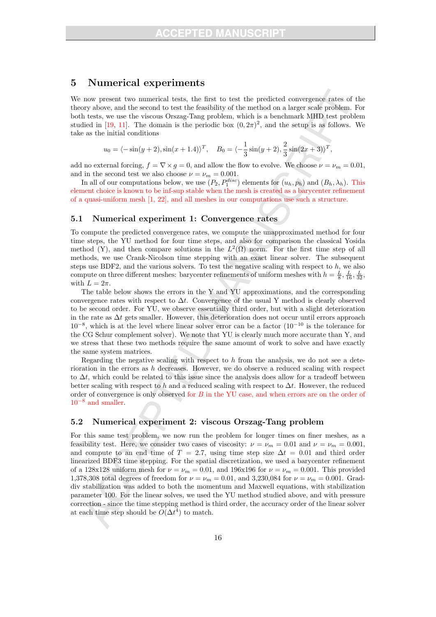# 5 Numerical experiments

We now present two numerical tests, the first to test the predicted convergence rates of the theory above, and the second to test the feasibility of the method on a larger scale problem. For both tests, we use the viscous Orszag-Tang problem, which is a benchmark MHD test problem studied in [19, 11]. The domain is the periodic box  $(0, 2\pi)^2$ , and the setup is as follows. We take as the initial conditions

$$
u_0 = \langle -\sin(y+2), \sin(x+1.4)\rangle^T
$$
,  $B_0 = \langle -\frac{1}{3}\sin(y+2), \frac{2}{3}\sin(2x+3)\rangle^T$ ,

add no external forcing,  $f = \nabla \times q = 0$ , and allow the flow to evolve. We choose  $\nu = \nu_m = 0.01$ , and in the second test we also choose  $\nu = \nu_m = 0.001$ .

In all of our computations below, we use  $(P_2, P_1^{disc})$  elements for  $(u_h, p_h)$  and  $(B_h, \lambda_h)$ . This element choice is known to be inf-sup stable when the mesh is created as a barycenter refinement of a quasi-uniform mesh [1, 22], and all meshes in our computations use such a structure.

#### 5.1 Numerical experiment 1: Convergence rates

To compute the predicted convergence rates, we compute the unapproximated method for four time steps, the YU method for four time steps, and also for comparison the classical Yosida method (Y), and then compare solutions in the  $L^2(\Omega)$  norm. For the first time step of all methods, we use Crank-Nicolson time stepping with an exact linear solver. The subsequent steps use BDF2, and the various solvers. To test the negative scaling with respect to  $h$ , we also compute on three different meshes: barycenter refinements of uniform meshes with  $h = \frac{L}{8}, \frac{L}{16}, \frac{L}{32}$ , with  $L = 2\pi$ .

The table below shows the errors in the Y and YU approximations, and the corresponding convergence rates with respect to  $\Delta t$ . Convergence of the usual Y method is clearly observed to be second order. For YU, we observe essentially third order, but with a slight deterioration in the rate as  $\Delta t$  gets smaller. However, this deterioration does not occur until errors approach  $10^{-8}$ , which is at the level where linear solver error can be a factor  $(10^{-10})$  is the tolerance for the CG Schur complement solver). We note that YU is clearly much more accurate than Y, and we stress that these two methods require the same amount of work to solve and have exactly the same system matrices.

Regarding the negative scaling with respect to h from the analysis, we do not see a deterioration in the errors as h decreases. However, we do observe a reduced scaling with respect to  $\Delta t$ , which could be related to this issue since the analysis does allow for a tradeoff between better scaling with respect to h and a reduced scaling with respect to  $\Delta t$ . However, the reduced order of convergence is only observed for B in the YU case, and when errors are on the order of  $10^{-8}$  and smaller.

#### 5.2 Numerical experiment 2: viscous Orszag-Tang problem

For this same test problem, we now run the problem for longer times on finer meshes, as a feasibility test. Here, we consider two cases of viscosity:  $\nu = \nu_m = 0.01$  and  $\nu = \nu_m = 0.001$ , and compute to an end time of  $T = 2.7$ , using time step size  $\Delta t = 0.01$  and third order linearized BDF3 time stepping. For the spatial discretization, we used a barycenter refinement of a 128x128 uniform mesh for  $\nu = \nu_m = 0.01$ , and 196x196 for  $\nu = \nu_m = 0.001$ . This provided 1,378,308 total degrees of freedom for  $\nu = \nu_m = 0.01$ , and 3,230,084 for  $\nu = \nu_m = 0.001$ . Graddiv stabilization was added to both the momentum and Maxwell equations, with stabilization parameter 100. For the linear solves, we used the YU method studied above, and with pressure correction - since the time stepping method is third order, the accuracy order of the linear solver at each time step should be  $O(\Delta t^4)$  to match.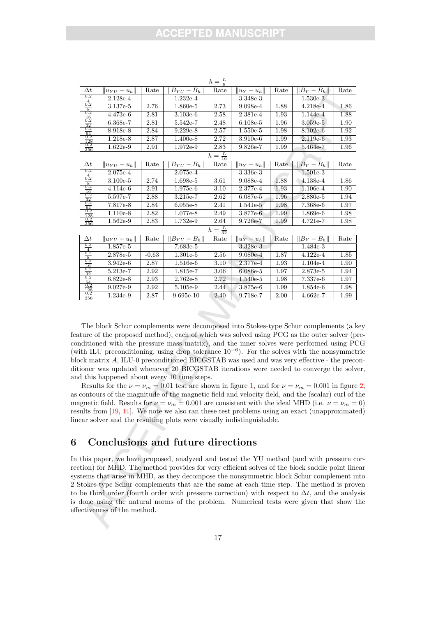| $\Delta t$                            | $  u_{YU}-u_h  $ | Rate    | $  B_{YU}-B_h  $ | Rate | $ u_Y-u_h $   | Rate | $  B_Y - B_h  $ | Rate |  |  |
|---------------------------------------|------------------|---------|------------------|------|---------------|------|-----------------|------|--|--|
| $_{0.2}$<br>$\overline{4}$            | 2.128e-4         |         | $1.232e-4$       |      | 3.348e-3      |      | $1.530e-3$      |      |  |  |
| 0.2                                   | $3.137e-5$       | 2.76    | $1.860e-5$       | 2.73 | $9.098e-4$    | 1.88 | $4.218e-4$      | 1.86 |  |  |
| $\frac{8}{0.2}$<br>$\overline{16}$    | 4.473e-6         | 2.81    | $3.103e-6$       | 2.58 | $2.381e-4$    | 1.93 | 1.144e-4        | 1.88 |  |  |
| 0.2                                   | 6.368e-7         | 2.81    | 5.542e-7         | 2.48 | $6.108e-5$    | 1.96 | $3.059e-5$      | 1.90 |  |  |
| $\frac{32}{0.2}$<br>64                | 8.918e-8         | 2.84    | $9.229e-8$       | 2.57 | $1.550e-5$    | 1.98 | $8.102e-6$      | 1.92 |  |  |
| $_{0.2}$                              | 1.218e-8         | 2.87    | $1.400e-8$       | 2.72 | $3.910e-6$    | 1.99 | $2.119e-6$      | 1.93 |  |  |
| $\frac{128}{0.2}$<br>$\overline{256}$ | $1.622e-9$       | 2.91    | $1.972e-9$       | 2.83 | $9.826e-7$    | 1.99 | 5.464e-7        | 1.96 |  |  |
| $h=\frac{L}{16}$                      |                  |         |                  |      |               |      |                 |      |  |  |
| $\Delta t$                            | $  u_{YU}-u_h  $ | Rate    | $  B_{YU}-B_h  $ | Rate | $  u_Y-u_h  $ | Rate | $  B_Y - B_h  $ | Rate |  |  |
| $_{0.2}$                              | 2.075e-4         |         | 2.075e-4         |      | 3.336e-3      |      | $1.501e-3$      |      |  |  |
| $\frac{4}{0.2}$                       | $3.100e-5$       | 2.74    | 1.698e-5         | 3.61 | 9.088e-4      | 1.88 | $4.138e-4$      | 1.86 |  |  |
| $_{0.2}^{8}$                          | $4.114e-6$       | 2.91    | 1.975e-6         | 3.10 | 2.377e-4      | 1.93 | $1.106e-4$      | 1.90 |  |  |
| $\frac{16}{0.2}$<br>$\frac{32}{0.2}$  | 5.597e-7         | 2.88    | 3.215e-7         | 2.62 | $6.087e-5$    | 1.96 | 2.880e-5        | 1.94 |  |  |
| $\frac{64}{0.2}$                      | 7.817e-8         | 2.84    | $6.055e-8$       | 2.41 | $1.541e-5$    | 1.98 | 7.368e-6        | 1.97 |  |  |
| 128                                   | $1.110e-8$       | 2.82    | 1.077e-8         | 2.49 | 3.877e-6      | 1.99 | 1.869e-6        | 1.98 |  |  |
| $_{0.2}$<br>$\overline{256}$          | $1.562e-9$       | 2.83    | 1.732e-9         | 2.64 | 9.726e-7      | 1.99 | $4.721e-7$      | 1.98 |  |  |
| $h = \frac{L}{32}$                    |                  |         |                  |      |               |      |                 |      |  |  |
| $\Delta t$                            | $  u_{YU}-u_h  $ | Rate    | $  B_{YU}-B_h  $ | Rate | $  u_Y-u_h  $ | Rate | $  B_Y - B_h  $ | Rate |  |  |
| 0.2<br>$\frac{4}{0.2}$                | 1.857e-5         |         | 7.683e-5         |      | 3.328e-3      |      | 1.484e-3        |      |  |  |
| $\frac{8}{0.2}$                       | 2.878e-5         | $-0.63$ | $1.301e-5$       | 2.56 | $9.080e-4$    | 1.87 | $4.122e-4$      | 1.85 |  |  |
| $\frac{16}{0.2}$                      | $3.942e-6$       | 2.87    | $1.516e-6$       | 3.10 | 2.377e-4      | 1.93 | $1.104e-4$      | 1.90 |  |  |
| $\frac{32}{0.2}$                      | 5.213e-7         | 2.92    | 1.815e-7         | 3.06 | $6.086e-5$    | 1.97 | 2.873e-5        | 1.94 |  |  |
| $\frac{64}{0.2}$                      | $6.822e-8$       | 2.93    | $2.762e-8$       | 2.72 | $1.540e-5$    | 1.98 | 7.337e-6        | 1.97 |  |  |
| 128                                   | 9.027e-9         | 2.92    | 5.105e-9         | 2.44 | 3.875e-6      | 1.99 | 1.854e-6        | 1.98 |  |  |
| 0.2<br>256                            | 1.234e-9         | 2.87    | $9.695e-10$      | 2.40 | 9.718e-7      | 2.00 | $4.662e-7$      | 1.99 |  |  |

 $h=\frac{L}{8}$ 

The block Schur complements were decomposed into Stokes-type Schur complements (a key feature of the proposed method), each of which was solved using PCG as the outer solver (preconditioned with the pressure mass matrix), and the inner solves were performed using PCG (with ILU preconditioning, using drop tolerance  $10^{-6}$ ). For the solves with the nonsymmetric block matrix A, ILU-0 preconditioned BICGSTAB was used and was very effective - the preconditioner was updated whenever 20 BICGSTAB iterations were needed to converge the solver, and this happened about every 10 time steps.

Results for the  $\nu = \nu_m = 0.01$  test are shown in figure 1, and for  $\nu = \nu_m = 0.001$  in figure 2, as contours of the magnitude of the magnetic field and velocity field, and the (scalar) curl of the magnetic field. Results for  $\nu = \nu_m = 0.001$  are consistent with the ideal MHD (i.e.  $\nu = \nu_m = 0$ ) results from [19, 11]. We note we also ran these test problems using an exact (unapproximated) linear solver and the resulting plots were visually indistinguishable.

# 6 Conclusions and future directions

In this paper, we have proposed, analyzed and tested the YU method (and with pressure correction) for MHD. The method provides for very efficient solves of the block saddle point linear systems that arise in MHD, as they decompose the nonsymmetric block Schur complement into 2 Stokes-type Schur complements that are the same at each time step. The method is proven to be third order (fourth order with pressure correction) with respect to  $\Delta t$ , and the analysis is done using the natural norms of the problem. Numerical tests were given that show the effectiveness of the method.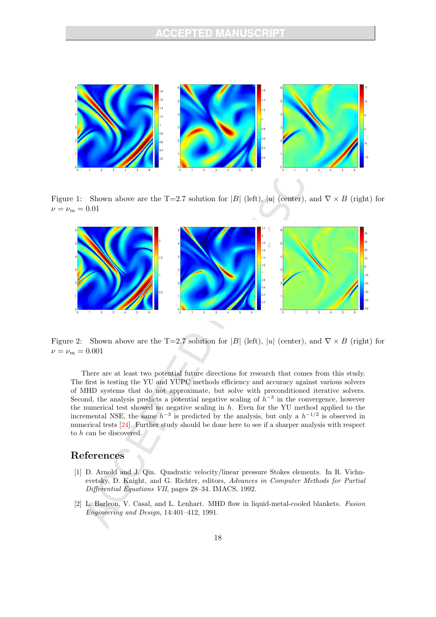

Figure 1: Shown above are the T=2.7 solution for |B| (left), |u| (center), and  $\nabla \times B$  (right) for  $\nu = \nu_m = 0.01$ 



Figure 2: Shown above are the T=2.7 solution for |B| (left), |u| (center), and  $\nabla \times B$  (right) for  $\nu = \nu_m = 0.001$ 

There are at least two potential future directions for research that comes from this study. The first is testing the YU and YUPC methods efficiency and accuracy against various solvers of MHD systems that do not approximate, but solve with preconditioned iterative solvers. Second, the analysis predicts a potential negative scaling of  $h^{-3}$  in the convergence, however the numerical test showed no negative scaling in h. Even for the YU method applied to the incremental NSE, the same  $h^{-3}$  is predicted by the analysis, but only a  $h^{-1/2}$  is observed in numerical tests [24]. Further study should be done here to see if a sharper analysis with respect to h can be discovered.

# References

- [1] D. Arnold and J. Qin. Quadratic velocity/linear pressure Stokes elements. In R. Vichnevetsky, D. Knight, and G. Richter, editors, Advances in Computer Methods for Partial Differential Equations VII, pages 28–34. IMACS, 1992.
- [2] L. Barleon, V. Casal, and L. Lenhart. MHD flow in liquid-metal-cooled blankets. Fusion Engineering and Design, 14:401–412, 1991.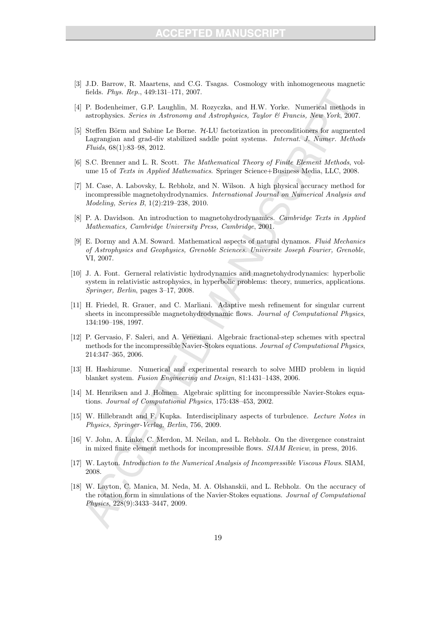- [3] J.D. Barrow, R. Maartens, and C.G. Tsagas. Cosmology with inhomogeneous magnetic fields. Phys. Rep., 449:131–171, 2007.
- [4] P. Bodenheimer, G.P. Laughlin, M. Rozyczka, and H.W. Yorke. Numerical methods in astrophysics. Series in Astronomy and Astrophysics, Taylor & Francis, New York, 2007.
- [5] Steffen Börm and Sabine Le Borne. H-LU factorization in preconditioners for augmented Lagrangian and grad-div stabilized saddle point systems. Internat. J. Numer. Methods Fluids, 68(1):83–98, 2012.
- [6] S.C. Brenner and L. R. Scott. The Mathematical Theory of Finite Element Methods, volume 15 of Texts in Applied Mathematics. Springer Science+Business Media, LLC, 2008.
- [7] M. Case, A. Labovsky, L. Rebholz, and N. Wilson. A high physical accuracy method for incompressible magnetohydrodynamics. International Journal on Numerical Analysis and Modeling, Series B, 1(2):219–238, 2010.
- [8] P. A. Davidson. An introduction to magnetohydrodynamics. Cambridge Texts in Applied Mathematics, Cambridge University Press, Cambridge, 2001.
- [9] E. Dormy and A.M. Soward. Mathematical aspects of natural dynamos. Fluid Mechanics of Astrophysics and Geophysics, Grenoble Sciences. Universite Joseph Fourier, Grenoble, VI, 2007.
- [10] J. A. Font. Gerneral relativistic hydrodynamics and magnetohydrodynamics: hyperbolic system in relativistic astrophysics, in hyperbolic problems: theory, numerics, applications. Springer, Berlin, pages 3–17, 2008.
- [11] H. Friedel, R. Grauer, and C. Marliani. Adaptive mesh refinement for singular current sheets in incompressible magnetohydrodynamic flows. Journal of Computational Physics, 134:190–198, 1997.
- [12] P. Gervasio, F. Saleri, and A. Veneziani. Algebraic fractional-step schemes with spectral methods for the incompressible Navier-Stokes equations. Journal of Computational Physics, 214:347–365, 2006.
- [13] H. Hashizume. Numerical and experimental research to solve MHD problem in liquid blanket system. Fusion Engineering and Design, 81:1431–1438, 2006.
- [14] M. Henriksen and J. Holmen. Algebraic splitting for incompressible Navier-Stokes equations. Journal of Computational Physics, 175:438–453, 2002.
- [15] W. Hillebrandt and F. Kupka. Interdisciplinary aspects of turbulence. Lecture Notes in Physics, Springer-Verlag, Berlin, 756, 2009.
- [16] V. John, A. Linke, C. Merdon, M. Neilan, and L. Rebholz. On the divergence constraint in mixed finite element methods for incompressible flows. SIAM Review, in press, 2016.
- [17] W. Layton. Introduction to the Numerical Analysis of Incompressible Viscous Flows. SIAM, 2008.
- [18] W. Layton, C. Manica, M. Neda, M. A. Olshanskii, and L. Rebholz. On the accuracy of the rotation form in simulations of the Navier-Stokes equations. Journal of Computational Physics, 228(9):3433–3447, 2009.